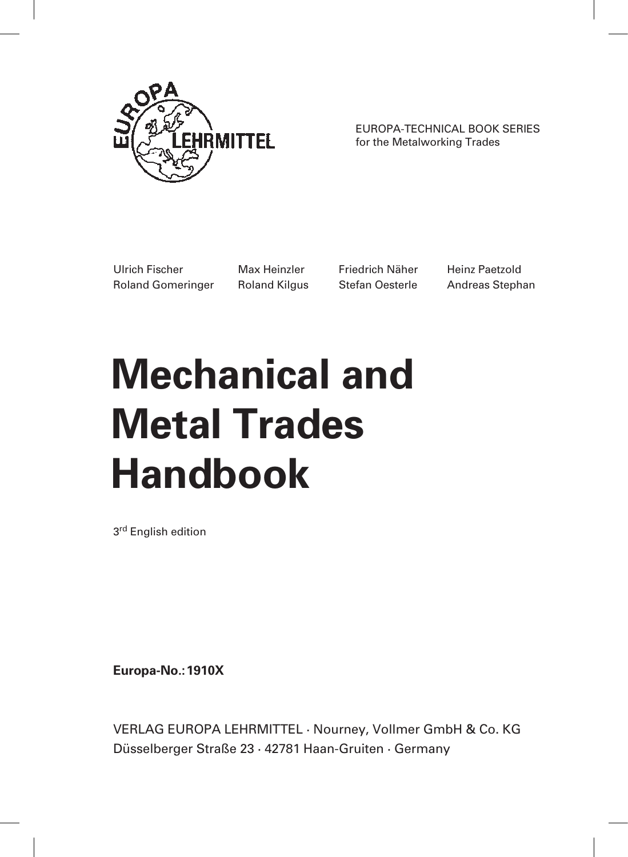

EUROPA-TECHNICAL BOOK SERIES for the Metalworking Trades

Ulrich Fischer Max Heinzler Friedrich Näher Heinz Paetzold Roland Gomeringer Roland Kilgus Stefan Oesterle Andreas Stephan

# **Mechanical and Metal Trades Handbook**

3<sup>rd</sup> English edition

**Europa-No.:1910X**

VERLAG EUROPA LEHRMITTEL · Nourney, Vollmer GmbH & Co. KG Düsselberger Straße 23 · 42781 Haan-Gruiten · Germany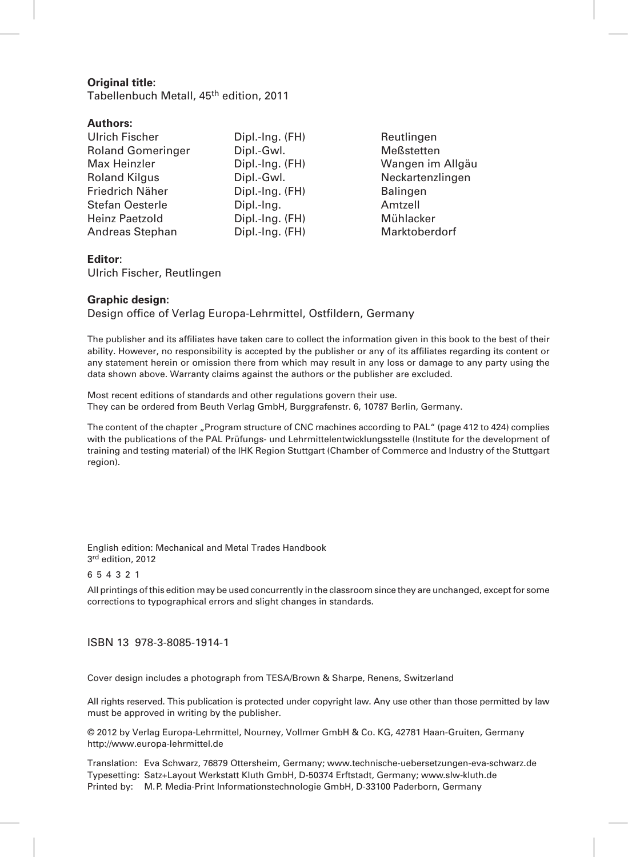#### **Original title:**

Tabellenbuch Metall, 45<sup>th</sup> edition, 2011

#### **Authors:**

| Dipl.-Ing. (FH) | Reutlingen           |
|-----------------|----------------------|
| Dipl.-Gwl.      | Meßstetten           |
| Dipl.-Ing. (FH) | Wangen im Allgäu     |
| Dipl.-Gwl.      | Neckartenzlingen     |
| Dipl.-Ing. (FH) | <b>Balingen</b>      |
| Dipl.-Ing.      | Amtzell              |
| Dipl.-Ing. (FH) | Mühlacker            |
| Dipl.-Ing. (FH) | <b>Marktoberdorf</b> |
|                 |                      |

#### **Editor**:

Ulrich Fischer, Reutlingen

#### **Graphic design:**

Design office of Verlag Europa-Lehrmittel, Ostfildern, Germany

The publisher and its affiliates have taken care to collect the information given in this book to the best of their ability. However, no responsibility is accepted by the publisher or any of its affiliates regarding its content or any statement herein or omission there from which may result in any loss or damage to any party using the data shown above. Warranty claims against the authors or the publisher are excluded.

Most recent editions of standards and other regulations govern their use. They can be ordered from Beuth Verlag GmbH, Burggrafenstr. 6, 10787 Berlin, Germany.

The content of the chapter "Program structure of CNC machines according to PAL" (page 412 to 424) complies with the publications of the PAL Prüfungs- und Lehrmittelentwicklungsstelle (Institute for the development of training and testing material) of the IHK Region Stuttgart (Chamber of Commerce and Industry of the Stuttgart region).

English edition: Mechanical and Metal Trades Handbook 3<sup>rd</sup> edition, 2012

6 5 4 3 2 1

All printings of this edition may be used concurrently in the classroom since they are unchanged, except for some corrections to typographical errors and slight changes in standards.

#### ISBN 13 978-3-8085-1914-1

Cover design includes a photograph from TESA/Brown & Sharpe, Renens, Switzerland

All rights reserved. This publication is protected under copyright law. Any use other than those permitted by law must be approved in writing by the publisher.

© 2012 by Verlag Europa-Lehrmittel, Nourney, Vollmer GmbH & Co. KG, 42781 Haan-Gruiten, Germany http://www.europa-lehrmittel.de

Translation: Eva Schwarz, 76879 Ottersheim, Germany; www.technische-uebersetzungen-eva-schwarz.de Typesetting: Satz+Layout Werkstatt Kluth GmbH, D-50374 Erftstadt, Germany; www.slw-kluth.de Printed by: M.P. Media-Print Informationstechnologie GmbH, D-33100 Paderborn, Germany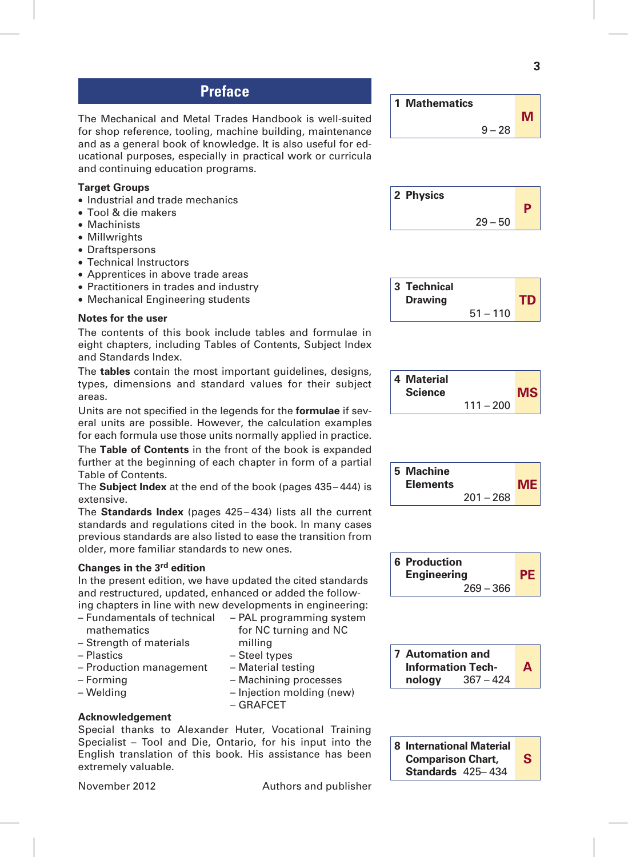# **Preface**

The Mechanical and Metal Trades Handbook is well-suited for shop reference, tooling, machine building, maintenance and as a general book of knowledge. It is also useful for educational purposes, especially in practical work or curricula and continuing education programs.

#### **Target Groups**

- Industrial and trade mechanics
- Tool & die makers
- Machinists
- Millwrights
- Draftspersons
- Technical Instructors
- Apprentices in above trade areas
- Practitioners in trades and industry
- Mechanical Engineering students

#### **Notes for the user**

The contents of this book include tables and formulae in eight chapters, including Tables of Contents, Subject Index and Standards Index.

The **tables** contain the most important guidelines, designs, types, dimensions and standard values for their subject areas.

Units are not specified in the legends for the **formulae** if several units are possible. However, the calculation examples for each formula use those units normally applied in practice.

The **Table of Contents** in the front of the book is expanded further at the beginning of each chapter in form of a partial Table of Contents.

The **Subject Index** at the end of the book (pages 435– 444) is extensive.

The **Standards Index** (pages 425 – 434) lists all the current standards and regulations cited in the book. In many cases previous standards are also listed to ease the transition from older, more familiar standards to new ones.

#### **Changes in the 3rd edition**

In the present edition, we have updated the cited standards and restructured, updated, enhanced or added the following chapters in line with new developments in engineering:

> – Steel types – Material testing – Machining processes – Injection molding (new)

– GRAFCET

- Fundamentals of technical mathematics – PAL programming system for NC turning and NC milling
- Strength of materials
- Plastics
- Production management
- Forming
- Welding

#### **Acknowledgement**

Special thanks to Alexander Huter, Vocational Training Specialist – Tool and Die, Ontario, for his input into the English translation of this book. His assistance has been extremely valuable.







|  | 5 Machine<br><b>Elements</b> |             | MEI |
|--|------------------------------|-------------|-----|
|  |                              | $201 - 268$ |     |





**S 8 International Material Comparison Chart, Standards** 425– 434

November 2012 **Authors** and publisher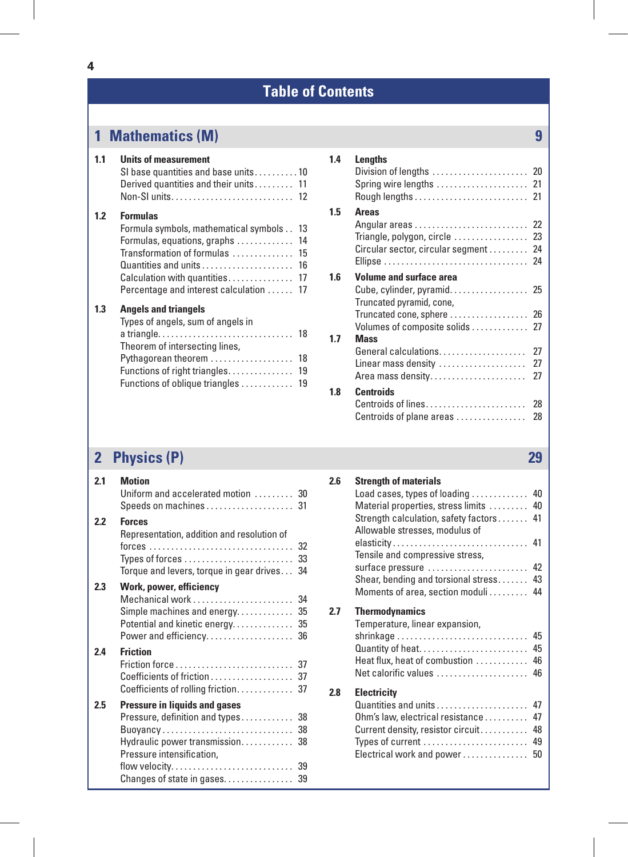# **1 Mathematics (M) 9**

| 1.1 | <b>Units of measurement</b><br>SI base quantities and base units10<br>Derived quantities and their units 11                                                                                                                                             |
|-----|---------------------------------------------------------------------------------------------------------------------------------------------------------------------------------------------------------------------------------------------------------|
| 1.2 | <b>Formulas</b><br>Formula symbols, mathematical symbols<br>13<br>14<br>Formulas, equations, graphs<br>Transformation of formulas<br>15<br>Quantities and units<br>16<br>Calculation with quantities<br>17<br>Percentage and interest calculation<br>17 |
| 1.3 | <b>Angels and triangels</b><br>Types of angels, sum of angels in<br>18<br>Theorem of intersecting lines,<br>Pythagorean theorem<br>18<br>Functions of right triangles<br>19<br>Functions of oblique triangles<br>19                                     |

#### **1.4 Lengths** Division of lengths . . . . . . . . . . . . . . . . . . . . . 20 Spring wire lengths . . . . . . . . . . . . . . . . . . . . 21 Rough lengths . . . . . . . . . . . . . . . . . . . . . . . . . 21 **1.5 Areas** Angular areas . . . . . . . . . . . . . . . . . . . . . . . . . 22 Triangle, polygon, circle .................. 23 Circular sector, circular segment . . . . . . . . 24 Ellipse . . . . . . . . . . . . . . . . . . . . . . . . . . . . . . . . 24 **1.6 Volume and surface area** Cube, cylinder, pyramid...................... 25 Truncated pyramid, cone, Truncated cone, sphere . . . . . . . . . . . . . . . . . 26 Volumes of composite solids . . . . . . . . . . . 27 **1.7 Mass** General calculations . . . . . . . . . . . . . . . . . . 27 Linear mass density . . . . . . . . . . . . . . . . . . . . 27 Area mass density . . . . . . . . . . . . . . . . . . . . . . 27 **1.8 Centroids** Centroids of lines . . . . . . . . . . . . . . . . . . . . . . . 28 Centroids of plane areas . . . . . . . . . . . . . . 28

# **2 Physics (P) 29**

| 2.1 | <b>Motion</b><br>Uniform and accelerated motion  30                                                                                                                                               |
|-----|---------------------------------------------------------------------------------------------------------------------------------------------------------------------------------------------------|
| 2.2 | <b>Forces</b><br>Representation, addition and resolution of<br>32<br>Types of forces $\dots\dots\dots\dots\dots\dots\dots\dots\dots$<br>33<br>Torque and levers, torque in gear drives<br>34      |
| 23  | Work, power, efficiency<br>Mechanical work<br>34<br>Simple machines and energy<br>35<br>Potential and kinetic energy 35<br>Power and efficiency 36                                                |
| 2.4 | <b>Friction</b><br>Coefficients of friction<br>37                                                                                                                                                 |
| 2.5 | <b>Pressure in liquids and gases</b><br>Pressure, definition and types<br>38<br>Buoyancy<br>38<br>Hydraulic power transmission 38<br>Pressure intensification,<br>Changes of state in gases<br>39 |

| 2.6 | <b>Strength of materials</b>                                        |    |
|-----|---------------------------------------------------------------------|----|
|     | Load cases, types of loading $\ldots \ldots \ldots$ 40              |    |
|     | Material properties, stress limits  40                              |    |
|     | Strength calculation, safety factors  41                            |    |
|     | Allowable stresses, modulus of                                      |    |
|     |                                                                     |    |
|     | Tensile and compressive stress,                                     |    |
|     | surface pressure  42                                                |    |
|     | Shear, bending and torsional stress 43                              |    |
|     | Moments of area, section moduli 44                                  |    |
| 2.7 | <b>Thermodynamics</b>                                               |    |
|     | Temperature, linear expansion,                                      |    |
|     | $shrinkage \ldots \ldots \ldots \ldots \ldots \ldots \ldots \ldots$ | 45 |
|     | Quantity of heat                                                    | 45 |
|     | Heat flux, heat of combustion                                       | 46 |
|     | Net calorific values                                                | 46 |
| 2.8 | <b>Electricity</b>                                                  |    |
|     | Quantities and units                                                | 47 |
|     | Ohm's law, electrical resistance                                    | 47 |
|     | Current density, resistor circuit                                   | 48 |
|     | Types of current $\ldots \ldots \ldots \ldots \ldots \ldots \ldots$ | 49 |
|     | Electrical work and power                                           | 50 |
|     |                                                                     |    |
|     |                                                                     |    |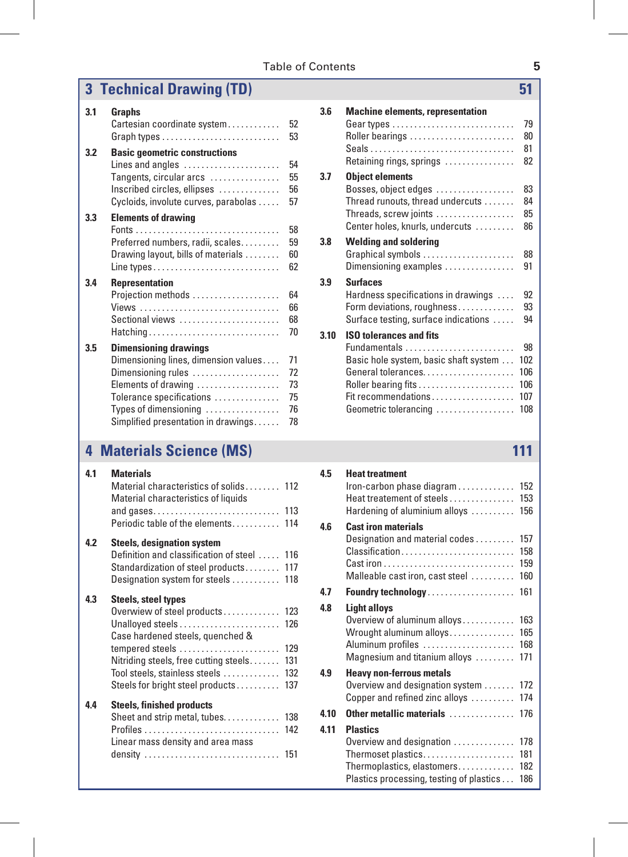### Table of Contents **5**

# **3 Technical Drawing (TD) 51**

| 3.1 | Graphs<br>Cartesian coordinate system                                                                                                                                                                                                     | 52<br>53                         |
|-----|-------------------------------------------------------------------------------------------------------------------------------------------------------------------------------------------------------------------------------------------|----------------------------------|
| 3.2 | <b>Basic geometric constructions</b><br>Lines and angles $\dots\dots\dots\dots\dots\dots\dots$<br>Tangents, circular arcs $\dots\dots\dots\dots\dots$<br>Inscribed circles, ellipses<br>Cycloids, involute curves, parabolas              | 54<br>55<br>56<br>57             |
| 3.3 | <b>Elements of drawing</b><br>Preferred numbers, radii, scales<br>Drawing layout, bills of materials                                                                                                                                      | 58<br>59<br>60<br>62             |
| 3.4 | <b>Representation</b><br>Projection methods<br>Views<br>Sectional views<br>Hatching                                                                                                                                                       | 64<br>66<br>68<br>70             |
| 3.5 | <b>Dimensioning drawings</b><br>Dimensioning lines, dimension values<br>Dimensioning rules<br>Elements of drawing<br>Tolerance specifications<br>Types of dimensioning $\dots\dots\dots\dots\dots$<br>Simplified presentation in drawings | 71<br>72<br>73<br>75<br>76<br>78 |

# **4 Materials Science (MS) 111**

| 41  | <b>Materials</b><br>Material characteristics of solids 112<br>Material characteristics of liquids<br>Periodic table of the elements                                                                                                        | 114                                    |
|-----|--------------------------------------------------------------------------------------------------------------------------------------------------------------------------------------------------------------------------------------------|----------------------------------------|
| 4.2 | <b>Steels, designation system</b><br>Definition and classification of steel<br>Standardization of steel products<br>Designation system for steels                                                                                          | 116<br>117<br>118                      |
| 43  | Steels, steel types<br>Overwiew of steel products<br>Unalloyed steels<br>Case hardened steels, quenched &<br>tempered steels<br>Nitriding steels, free cutting steels<br>Tool steels, stainless steels<br>Steels for bright steel products | 123<br>126<br>129<br>131<br>132<br>137 |
| 44  | <b>Steels, finished products</b><br>Sheet and strip metal, tubes.<br>Linear mass density and area mass<br>density                                                                                                                          | 138<br>142<br>151                      |

| 3.6  | <b>Machine elements, representation</b>           |     |  |
|------|---------------------------------------------------|-----|--|
|      |                                                   | 79  |  |
|      | Roller bearings                                   | 80  |  |
|      |                                                   | 81  |  |
|      | Retaining rings, springs                          | 82  |  |
| 3.7  | <b>Object elements</b>                            |     |  |
|      | Bosses, object edges                              | 83  |  |
|      | Thread runouts, thread undercuts                  | 84  |  |
|      | Threads, screw joints                             | 85  |  |
|      | Center holes, knurls, undercuts                   | 86  |  |
| 3.8  | <b>Welding and soldering</b>                      |     |  |
|      | Graphical symbols                                 | 88  |  |
|      | Dimensioning examples $\dots\dots\dots\dots\dots$ | 91  |  |
| 3.9  | <b>Surfaces</b>                                   |     |  |
|      | Hardness specifications in drawings               | 92  |  |
|      | Form deviations, roughness                        | 93  |  |
|      | Surface testing, surface indications              | 94  |  |
| 3.10 | <b>ISO tolerances and fits</b>                    |     |  |
|      | Fundamentals                                      | 98  |  |
|      | Basic hole system, basic shaft system             | 102 |  |
|      | General tolerances                                | 106 |  |
|      |                                                   | 106 |  |
|      | Fit recommendations                               | 107 |  |
|      | Geometric tolerancing                             | 108 |  |

| 4.5  | <b>Heat treatment</b><br>Iron-carbon phase diagram<br>Heat treatement of steels<br>Hardening of aluminium alloys                            | 152<br>153<br>156        |
|------|---------------------------------------------------------------------------------------------------------------------------------------------|--------------------------|
| 4.6  | <b>Cast iron materials</b><br>Designation and material codes<br>Classification<br>Malleable cast iron, cast steel                           | 157<br>158<br>159<br>160 |
| 4.7  | <b>Foundry technology</b>                                                                                                                   | 161                      |
| 4.8  | <b>Light alloys</b><br>Overview of aluminum alloys<br>Wrought aluminum alloys<br>Aluminum profiles<br>Magnesium and titanium alloys         | 163<br>165<br>168<br>171 |
| 4.9  | <b>Heavy non-ferrous metals</b><br>Overview and designation system<br>Copper and refined zinc alloys                                        | 172<br>174               |
| 4.10 | Other metallic materials                                                                                                                    | 176                      |
| 4.11 | <b>Plastics</b><br>Overview and designation<br>Thermoset plastics<br>Thermoplastics, elastomers<br>Plastics processing, testing of plastics | 178<br>181<br>182<br>186 |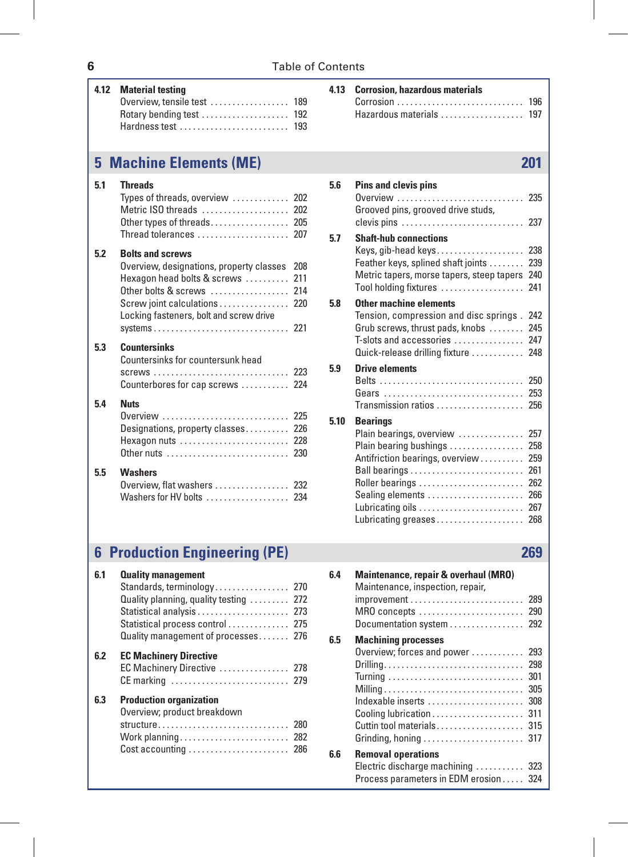| 4.12 | <b>Material testing</b><br>Overview, tensile test  189<br>Hardness test  193                                                             |     | 4.13 | <b>Corrosion, hazardous materials</b><br>Hazardous materials  197                                                                                                                                                                                                                     |     |
|------|------------------------------------------------------------------------------------------------------------------------------------------|-----|------|---------------------------------------------------------------------------------------------------------------------------------------------------------------------------------------------------------------------------------------------------------------------------------------|-----|
|      | <b>5 Machine Elements (ME)</b>                                                                                                           |     |      |                                                                                                                                                                                                                                                                                       | 201 |
| 5.1  | <b>Threads</b><br>Types of threads, overview  202<br>Metric ISO threads  202<br>Thread tolerances  207                                   |     | 5.6  | Pins and clevis pins<br>0verview  235<br>Grooved pins, grooved drive studs,<br>clevis pins  237                                                                                                                                                                                       |     |
| 5.2  | <b>Bolts and screws</b><br>Overview, designations, property classes 208<br>Hexagon head bolts & screws  211<br>Other bolts & screws  214 |     | 5.7  | <b>Shaft-hub connections</b><br>Feather keys, splined shaft joints  239<br>Metric tapers, morse tapers, steep tapers 240<br>Tool holding fixtures  241                                                                                                                                |     |
|      | Screw joint calculations<br>Locking fasteners, bolt and screw drive                                                                      | 220 | 5.8  | Other machine elements<br>Tension, compression and disc springs . 242<br>Grub screws, thrust pads, knobs  245<br>T-slots and accessories  247                                                                                                                                         |     |
| 5.3  | <b>Countersinks</b><br>Countersinks for countersunk head<br>Counterbores for cap screws  224                                             |     | 5.9  | Quick-release drilling fixture  248<br><b>Drive elements</b>                                                                                                                                                                                                                          |     |
| 5.4  | <b>Nuts</b><br>Overview  225<br>Designations, property classes 226<br>Hexagon nuts  228<br>Other nuts  230                               |     | 5.10 | Gears  253<br>Transmission ratios  256<br><b>Bearings</b><br>Plain bearings, overview  257<br>Plain bearing bushings  258<br>Antifriction bearings, overview  259                                                                                                                     |     |
| 5.5  | <b>Washers</b><br>Overview, flat washers  232<br>Washers for HV bolts  234                                                               |     |      | Roller bearings  262<br>Sealing elements  266<br><u>Lubricating oils and the contract of the contract of the contract of the contract of the contract of the contract of the contract of the contract of the contract of the contract of the contract of the contract of the cont</u> | 267 |

#### **4.13 Corrosion, hazardous materials**

| Hazardous materials  197 |  |
|--------------------------|--|

| 5.6  | <b>Pins and clevis pins</b>                                                                                                                                                                | 235                                                  |
|------|--------------------------------------------------------------------------------------------------------------------------------------------------------------------------------------------|------------------------------------------------------|
|      | Grooved pins, grooved drive studs,<br>clevis pins $\ldots \ldots \ldots \ldots \ldots \ldots \ldots \ldots$ 237                                                                            |                                                      |
| 5.7  | <b>Shaft-hub connections</b><br>Keys, gib-head keys<br>Feather keys, splined shaft joints<br>Metric tapers, morse tapers, steep tapers 240<br>Tool holding fixtures                        | 238<br>239<br>241                                    |
| 5.8  | Other machine elements<br>Tension, compression and disc springs. 242<br>Grub screws, thrust pads, knobs  245<br>T-slots and accessories  247<br>Quick-release drilling fixture  248        |                                                      |
| 5.9  | <b>Drive elements</b><br>Transmission ratios  256                                                                                                                                          |                                                      |
| 5.10 | <b>Bearings</b><br>Plain bearings, overview<br>Plain bearing bushings<br>Antifriction bearings, overview<br>Roller bearings<br>Sealing elements<br>Lubricating oils<br>Lubricating greases | 257<br>258<br>259<br>261<br>262<br>266<br>267<br>268 |

# **6 Production Engineering (PE) 269**

| 6.1 | <b>Quality management</b>                                     |  |
|-----|---------------------------------------------------------------|--|
|     | Standards, terminology 270                                    |  |
|     | Quality planning, quality testing  272                        |  |
|     | Statistical analysis  273                                     |  |
|     | Statistical process control  275                              |  |
|     | Quality management of processes 276                           |  |
| 6.2 | <b>EC Machinery Directive</b><br>EC Machinery Directive  278  |  |
| 6.3 | <b>Production organization</b><br>Overview; product breakdown |  |
|     | structure 280                                                 |  |
|     |                                                               |  |
|     | Cost accounting  286                                          |  |

| 6.4 | Maintenance, repair & overhaul (MRO)<br>Maintenance, inspection, repair,<br>MRO concepts<br>Documentation system  292 | 289<br>290 |
|-----|-----------------------------------------------------------------------------------------------------------------------|------------|
| 6.5 | <b>Machining processes</b>                                                                                            |            |
|     | Overview; forces and power                                                                                            | 293        |
|     | Drilling                                                                                                              | 298        |
|     |                                                                                                                       | 301        |
|     |                                                                                                                       | 305        |
|     | Indexable inserts                                                                                                     | 308        |
|     |                                                                                                                       | 311        |
|     | Cuttin tool materials                                                                                                 | 315        |
|     | Grinding, honing $\ldots \ldots \ldots \ldots \ldots \ldots \ldots$                                                   | 317        |
| 6.6 | <b>Removal operations</b>                                                                                             |            |
|     | Electric discharge machining  323                                                                                     |            |
|     | Process parameters in EDM erosion 324                                                                                 |            |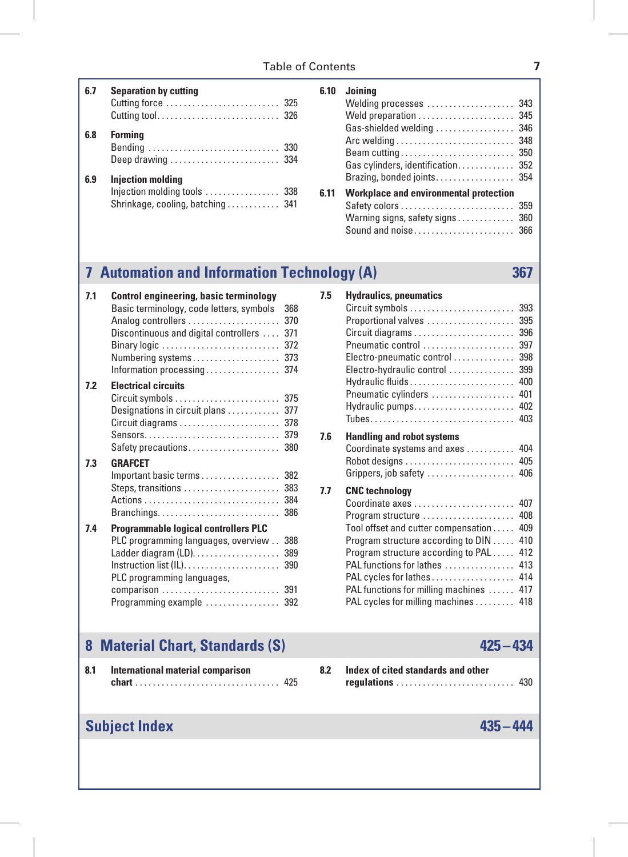| 6.7 | <b>Separation by cutting</b><br>Cutting force  325                                           |  |
|-----|----------------------------------------------------------------------------------------------|--|
| 6.8 | <b>Formina</b><br>Bending  330<br>Deep drawing  334                                          |  |
| 6.9 | <b>Iniection molding</b><br>Injection molding tools  338<br>Shrinkage, cooling, batching 341 |  |

| 6.10 | Joinina                                       |     |
|------|-----------------------------------------------|-----|
|      | Welding processes  343                        |     |
|      | Weld preparation  345                         |     |
|      | Gas-shielded welding  346                     |     |
|      |                                               |     |
|      |                                               |     |
|      | Gas cylinders, identification 352             |     |
|      | Brazing, bonded joints 354                    |     |
| 6.11 | <b>Workplace and environmental protection</b> |     |
|      | Safety colors                                 | 359 |
|      | Warning signs, safety signs                   | 360 |
|      | Sound and noise 366                           |     |

# **7 Automation and Information Technology (A) 367**

| 7.1 | Control engineering, basic terminology                                       |     |
|-----|------------------------------------------------------------------------------|-----|
|     | Basic terminology, code letters, symbols                                     | 368 |
|     | Analog controllers                                                           | 370 |
|     | Discontinuous and digital controllers                                        | 371 |
|     | Binary logic $\ldots \ldots \ldots \ldots \ldots \ldots \ldots \ldots$       | 372 |
|     | Numbering systems                                                            | 373 |
|     | Information processing                                                       | 374 |
| 7.2 | <b>Electrical circuits</b>                                                   |     |
|     | Circuit symbols  375                                                         |     |
|     | Designations in circuit plans                                                | 377 |
|     |                                                                              | 378 |
|     |                                                                              | 379 |
|     | Safety precautions                                                           | 380 |
| 7.3 | <b>GRAFCET</b>                                                               |     |
|     | Important basic terms                                                        | 382 |
|     | Steps, transitions                                                           | 383 |
|     |                                                                              | 384 |
|     | $Branchings. \ldots \ldots \ldots \ldots \ldots \ldots \ldots \ldots \ldots$ | 386 |
| 7.4 | <b>Programmable logical controllers PLC</b>                                  |     |
|     | PLC programming languages, overview 388                                      |     |
|     |                                                                              | 389 |
|     |                                                                              | 390 |
|     | PLC programming languages,                                                   |     |
|     | comparison  391                                                              |     |
|     | Programming example  392                                                     |     |
|     |                                                                              |     |

| 7.5 | <b>Hydraulics, pneumatics</b>                                        |     |
|-----|----------------------------------------------------------------------|-----|
|     | $Circuit$ symbols $\ldots \ldots \ldots \ldots \ldots \ldots \ldots$ | 393 |
|     | Proportional valves                                                  | 395 |
|     |                                                                      | 396 |
|     | Pneumatic control                                                    | 397 |
|     | Electro-pneumatic control                                            | 398 |
|     | Electro-hydraulic control                                            | 399 |
|     | Hydraulic fluids                                                     | 400 |
|     | Pneumatic cylinders                                                  | 401 |
|     | Hydraulic pumps                                                      | 402 |
|     |                                                                      | 403 |
| 7.6 | <b>Handling and robot systems</b>                                    |     |
|     | Coordinate systems and axes                                          | 404 |
|     | Robot designs                                                        | 405 |
|     | Grippers, job safety                                                 | 406 |
| 7.7 | <b>CNC</b> technology                                                |     |
|     | Coordinate axes                                                      | 407 |
|     | Program structure $\dots\dots\dots\dots\dots\dots\dots$              | 408 |
|     | Tool offset and cutter compensation                                  | 409 |
|     | Program structure according to DIN                                   | 410 |
|     | Program structure according to PAL                                   | 412 |
|     | PAL functions for lathes                                             | 413 |
|     | PAL cycles for lathes                                                | 414 |
|     | PAL functions for milling machines                                   | 417 |
|     | PAL cycles for milling machines                                      | 418 |
|     |                                                                      |     |

# **8 Material Chart, Standards (S) 425 –434**

| 8.1 | International material comparison |     |  |  |  |  |  |  |
|-----|-----------------------------------|-----|--|--|--|--|--|--|
|     |                                   | 425 |  |  |  |  |  |  |

| <b>regulations</b> 430 |  |  |  |  |  |  |  |  |  |  |  |  |  |  |
|------------------------|--|--|--|--|--|--|--|--|--|--|--|--|--|--|
|                        |  |  |  |  |  |  |  |  |  |  |  |  |  |  |

**8.2 Index of cited standards and other** 

# **Subject Index 435 –444**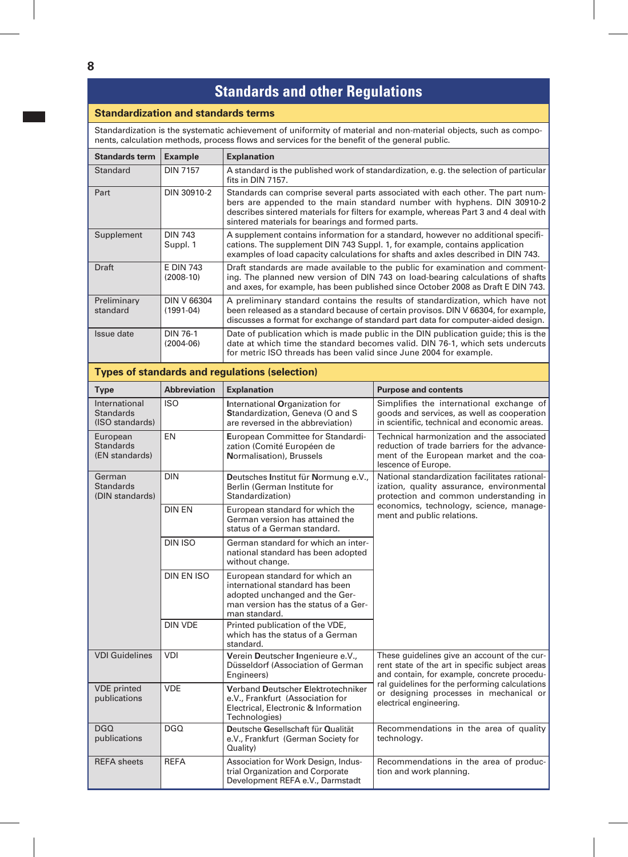# **Standards and other Regulations**

#### **Standardization and standards terms**

Standardization is the systematic achievement of uniformity of material and non-material objects, such as components, calculation methods, process flows and services for the benefit of the general public.

| <b>Standards term</b>   | <b>Example</b>                  | <b>Explanation</b>                                                                                                                                                                                                                                                                                     |
|-------------------------|---------------------------------|--------------------------------------------------------------------------------------------------------------------------------------------------------------------------------------------------------------------------------------------------------------------------------------------------------|
| Standard                | <b>DIN 7157</b>                 | A standard is the published work of standardization, e.g. the selection of particular<br>fits in DIN 7157.                                                                                                                                                                                             |
| Part                    | DIN 30910-2                     | Standards can comprise several parts associated with each other. The part num-<br>bers are appended to the main standard number with hyphens. DIN 30910-2<br>describes sintered materials for filters for example, whereas Part 3 and 4 deal with<br>sintered materials for bearings and formed parts. |
| Supplement              | <b>DIN 743</b><br>Suppl. 1      | A supplement contains information for a standard, however no additional specifi-<br>cations. The supplement DIN 743 Suppl. 1, for example, contains application<br>examples of load capacity calculations for shafts and axles described in DIN 743.                                                   |
| Draft                   | <b>E DIN 743</b><br>$(2008-10)$ | Draft standards are made available to the public for examination and comment-<br>ing. The planned new version of DIN 743 on load-bearing calculations of shafts<br>and axes, for example, has been published since October 2008 as Draft E DIN 743.                                                    |
| Preliminary<br>standard | DIN V 66304<br>$(1991-04)$      | A preliminary standard contains the results of standardization, which have not<br>been released as a standard because of certain provisos. DIN V 66304, for example,<br>discusses a format for exchange of standard part data for computer-aided design.                                               |
| Issue date              | DIN 76-1<br>$(2004-06)$         | Date of publication which is made public in the DIN publication guide; this is the<br>date at which time the standard becomes valid. DIN 76-1, which sets undercuts<br>for metric ISO threads has been valid since June 2004 for example.                                                              |

#### **Types of standards and regulations (selection)**

| <b>Type</b>                                          | <b>Abbreviation</b> | <b>Explanation</b>                                                                                                                                           | <b>Purpose and contents</b>                                                                                                                                   |  |  |  |  |
|------------------------------------------------------|---------------------|--------------------------------------------------------------------------------------------------------------------------------------------------------------|---------------------------------------------------------------------------------------------------------------------------------------------------------------|--|--|--|--|
| International<br><b>Standards</b><br>(ISO standards) | <b>ISO</b>          | International Organization for<br>Standardization, Geneva (O and S<br>are reversed in the abbreviation)                                                      | Simplifies the international exchange of<br>goods and services, as well as cooperation<br>in scientific, technical and economic areas.                        |  |  |  |  |
| European<br><b>Standards</b><br>(EN standards)       | EN                  | European Committee for Standardi-<br>zation (Comité Européen de<br>Normalisation), Brussels                                                                  | Technical harmonization and the associated<br>reduction of trade barriers for the advance-<br>ment of the European market and the coa-<br>lescence of Europe. |  |  |  |  |
| German<br><b>Standards</b><br>(DIN standards)        | <b>DIN</b>          | Deutsches Institut für Normung e.V.,<br>Berlin (German Institute for<br>Standardization)                                                                     | National standardization facilitates rational-<br>ization, quality assurance, environmental<br>protection and common understanding in                         |  |  |  |  |
|                                                      | <b>DIN EN</b>       | European standard for which the<br>German version has attained the<br>status of a German standard.                                                           | economics, technology, science, manage-<br>ment and public relations.                                                                                         |  |  |  |  |
|                                                      | <b>DIN ISO</b>      | German standard for which an inter-<br>national standard has been adopted<br>without change.                                                                 |                                                                                                                                                               |  |  |  |  |
|                                                      | DIN EN ISO          | European standard for which an<br>international standard has been<br>adopted unchanged and the Ger-<br>man version has the status of a Ger-<br>man standard. |                                                                                                                                                               |  |  |  |  |
|                                                      | <b>DIN VDE</b>      | Printed publication of the VDE,<br>which has the status of a German<br>standard.                                                                             |                                                                                                                                                               |  |  |  |  |
| <b>VDI Guidelines</b>                                | VDI                 | Verein Deutscher Ingenieure e.V.,<br>Düsseldorf (Association of German<br>Engineers)                                                                         | These guidelines give an account of the cur-<br>rent state of the art in specific subject areas<br>and contain, for example, concrete procedu-                |  |  |  |  |
| <b>VDE</b> printed<br>publications                   | <b>VDE</b>          | Verband Deutscher Elektrotechniker<br>e.V., Frankfurt (Association for<br>Electrical, Electronic & Information<br>Technologies)                              | ral guidelines for the performing calculations<br>or designing processes in mechanical or<br>electrical engineering.                                          |  |  |  |  |
| DGO.<br>publications                                 | DGO.                | Deutsche Gesellschaft für Qualität<br>e.V., Frankfurt (German Society for<br>Quality)                                                                        | Recommendations in the area of quality<br>technology.                                                                                                         |  |  |  |  |
| <b>REFA</b> sheets                                   | <b>REFA</b>         | Association for Work Design, Indus-<br>trial Organization and Corporate<br>Development REFA e.V., Darmstadt                                                  | Recommendations in the area of produc-<br>tion and work planning.                                                                                             |  |  |  |  |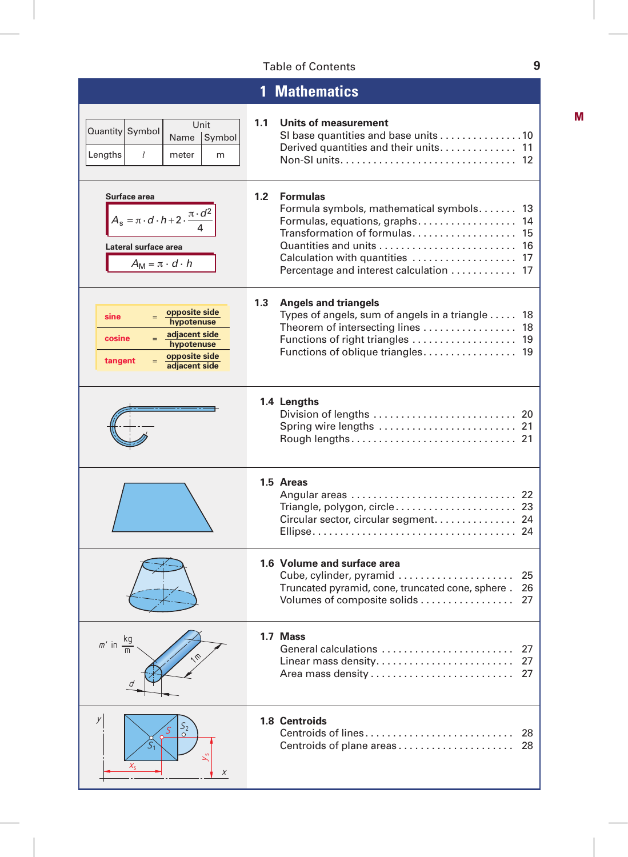# Table of Contents **9**

|                                                                                                                                        | <b>Mathematics</b>                                                                                                                                                                                                                             |
|----------------------------------------------------------------------------------------------------------------------------------------|------------------------------------------------------------------------------------------------------------------------------------------------------------------------------------------------------------------------------------------------|
| Unit<br>Quantity Symbol<br>Name<br>Symbol<br>Lengths<br>l<br>meter<br>m                                                                | 1.1<br>Units of measurement<br>SI base quantities and base units 10<br>Derived quantities and their units<br>11                                                                                                                                |
| Surface area<br>$A_{s} = \pi \cdot d \cdot h + 2 \cdot \frac{\pi \cdot d^2}{ }$<br>Lateral surface area<br>$A_M = \pi \cdot d \cdot h$ | 1.2 <sub>2</sub><br><b>Formulas</b><br>Formula symbols, mathematical symbols<br>13<br>Formulas, equations, graphs<br>14<br>Transformation of formulas<br>15<br>16<br>Calculation with quantities  17<br>Percentage and interest calculation 17 |
| opposite side<br>sine<br>hypotenuse<br>adjacent side<br>cosine<br>hypotenuse<br>opposite side<br>tangent<br>adjacent side              | 1.3<br><b>Angels and triangels</b><br>Types of angels, sum of angels in a triangle  18<br>Theorem of intersecting lines<br>18<br>Functions of right triangles  19                                                                              |
|                                                                                                                                        | 1.4 Lengths<br>Division of lengths $\ldots \ldots \ldots \ldots \ldots \ldots \ldots$ 20                                                                                                                                                       |
|                                                                                                                                        | 1.5 Areas<br>Triangle, polygon, circle 23<br>Circular sector, circular segment. 24                                                                                                                                                             |
|                                                                                                                                        | 1.6 Volume and surface area<br>Cube, cylinder, pyramid<br>25<br>Truncated pyramid, cone, truncated cone, sphere.<br>26<br>Volumes of composite solids<br>27                                                                                    |
| $m'$ in                                                                                                                                | 1.7 Mass<br>General calculations<br>27<br>27<br>Linear mass density<br>27                                                                                                                                                                      |
| У<br>$S_2$<br>X                                                                                                                        | 1.8 Centroids<br>Centroids of lines<br>28<br>Centroids of plane areas<br>28                                                                                                                                                                    |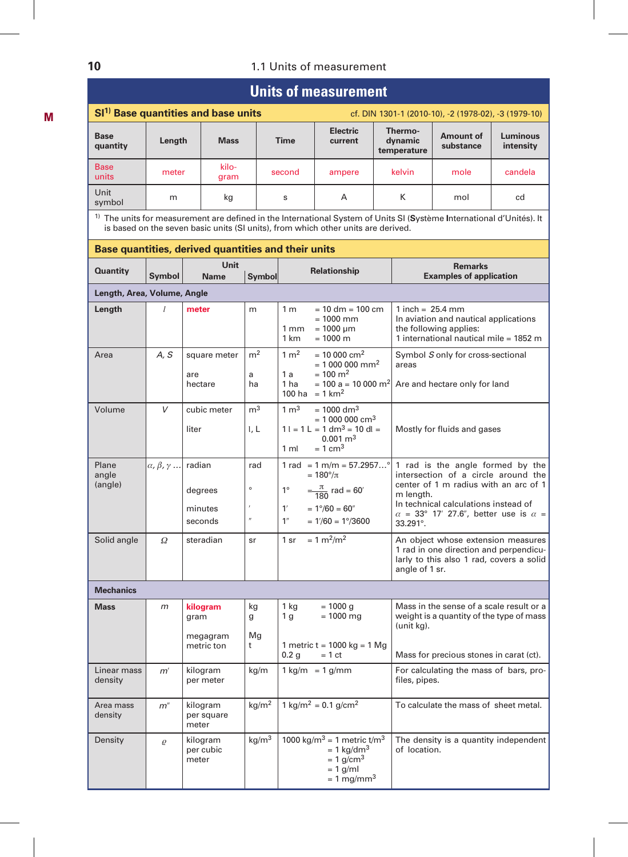### **10** 1.1 Units of measurement

# **Units of measurement**

|                         |        | SI <sup>1)</sup> Base quantities and base units | cf. DIN 1301-1 (2010-10), -2 (1978-02), -3 (1979-10) |                            |                                   |                               |                       |  |  |
|-------------------------|--------|-------------------------------------------------|------------------------------------------------------|----------------------------|-----------------------------------|-------------------------------|-----------------------|--|--|
| <b>Base</b><br>quantity | Length | <b>Mass</b>                                     | Time                                                 | <b>Electric</b><br>current | Thermo-<br>dynamic<br>temperature | <b>Amount of</b><br>substance | Luminous<br>intensity |  |  |
| <b>Base</b><br>units    | meter  | kilo-<br>gram                                   | second                                               | ampere                     | kelvin                            | mole                          | candela               |  |  |
| Unit<br>symbol          | m      | kg                                              | s                                                    | A                          | ĸ                                 | mol                           | cd                    |  |  |

1) The units for measurement are defined in the International System of Units SI (**S**ystème **I**nternational d'Unités). It is based on the seven basic units (SI units), from which other units are derived.

|                             |                                      | Base quantities, derived quantities and their units |                                  |                                                                                                                                                                          |                                                                                                                                                                                                                                         |
|-----------------------------|--------------------------------------|-----------------------------------------------------|----------------------------------|--------------------------------------------------------------------------------------------------------------------------------------------------------------------------|-----------------------------------------------------------------------------------------------------------------------------------------------------------------------------------------------------------------------------------------|
| <b>Quantity</b>             | Symbol                               | Unit<br><b>Name</b>                                 | Symbol                           | Relationship                                                                                                                                                             | <b>Remarks</b><br><b>Examples of application</b>                                                                                                                                                                                        |
| Length, Area, Volume, Angle |                                      |                                                     |                                  |                                                                                                                                                                          |                                                                                                                                                                                                                                         |
| Length                      | $\mathcal{I}$                        | meter                                               | m                                | $= 10$ dm $= 100$ cm<br>1 <sub>m</sub><br>$= 1000$ mm<br>$= 1000 \mu m$<br>1 mm<br>1 km<br>$= 1000 \text{ m}$                                                            | 1 inch = $25.4$ mm<br>In aviation and nautical applications<br>the following applies:<br>1 international nautical mile = 1852 m                                                                                                         |
| Area                        | A, S                                 | square meter<br>are<br>hectare                      | m <sup>2</sup><br>a<br>ha        | $1 \text{ m}^2$<br>$= 10000$ cm <sup>2</sup><br>$= 1000000$ mm <sup>2</sup><br>$= 100 \text{ m}^2$<br>1a<br>1 ha<br>100 ha = $1 km2$                                     | Symbol S only for cross-sectional<br>areas<br>= 100 a = 10 000 $m^2$ Are and hectare only for land                                                                                                                                      |
| Volume                      | $\vee$                               | cubic meter<br>liter                                | m <sup>3</sup><br>l. L           | $1 \text{ m}^3$<br>$= 1000$ dm <sup>3</sup><br>$= 1000000$ cm <sup>3</sup><br>$1 l = 1 L = 1 dm3 = 10 dl =$<br>$0.001 \text{ m}^3$<br>$= 1$ cm <sup>3</sup><br>1 ml      | Mostly for fluids and gases                                                                                                                                                                                                             |
| Plane<br>angle<br>(angle)   | $\alpha$ , $\beta$ , $\gamma$ radian | degrees<br>minutes<br>seconds                       | rad<br>$\circ$<br>$\prime\prime$ | $1 rad = 1 m/m = 57.2957^{\circ}$<br>$= 180^{\circ}/\pi$<br>$1^{\circ} = \frac{\pi}{180}$ rad = 60'<br>$= 1^{\circ}/60 = 60$ "<br>1'<br>$= 1/60 = 1^{\circ}/3600$<br>1'' | 1 rad is the angle formed by the<br>intersection of a circle around the<br>center of 1 m radius with an arc of 1<br>m length.<br>In technical calculations instead of<br>$\alpha$ = 33° 17′ 27.6″, better use is $\alpha$ =<br>33.291°. |
| Solid angle                 | Ω                                    | steradian                                           | sr                               | $1 \text{ sr} = 1 \text{ m}^2/\text{m}^2$                                                                                                                                | An object whose extension measures<br>1 rad in one direction and perpendicu-<br>larly to this also 1 rad, covers a solid<br>angle of 1 sr.                                                                                              |
| <b>Mechanics</b>            |                                      |                                                     |                                  |                                                                                                                                                                          |                                                                                                                                                                                                                                         |
| <b>Mass</b>                 | m                                    | kilogram<br>gram<br>megagram<br>metric ton          | kg<br>g<br>Mg<br>t               | 1 kg<br>$= 1000$ g<br>1g<br>$= 1000$ mg<br>1 metric t = 1000 kg = 1 Mg<br>0.2 <sub>q</sub><br>$= 1 ct$                                                                   | Mass in the sense of a scale result or a<br>weight is a quantity of the type of mass<br>(unit kg).<br>Mass for precious stones in carat (ct).                                                                                           |
| Linear mass<br>density      | m'                                   | kilogram<br>per meter                               | kg/m                             | $1 \text{ kg/m} = 1 \text{ g/mm}$                                                                                                                                        | For calculating the mass of bars, pro-<br>files, pipes.                                                                                                                                                                                 |
| Area mass<br>density        | $m$ "                                | kilogram<br>per square<br>meter                     | kg/m <sup>2</sup>                | $1 \text{ kg/m}^2 = 0.1 \text{ g/cm}^2$                                                                                                                                  | To calculate the mass of sheet metal.                                                                                                                                                                                                   |
| Density                     | $\varrho$                            | kilogram<br>per cubic<br>meter                      | kg/m $^3$                        | 1000 kg/m <sup>3</sup> = 1 metric t/m <sup>3</sup><br>$= 1$ kg/dm <sup>3</sup><br>$= 1$ g/cm <sup>3</sup><br>$= 1$ g/ml<br>$= 1$ mg/mm <sup>3</sup>                      | The density is a quantity independent<br>of location.                                                                                                                                                                                   |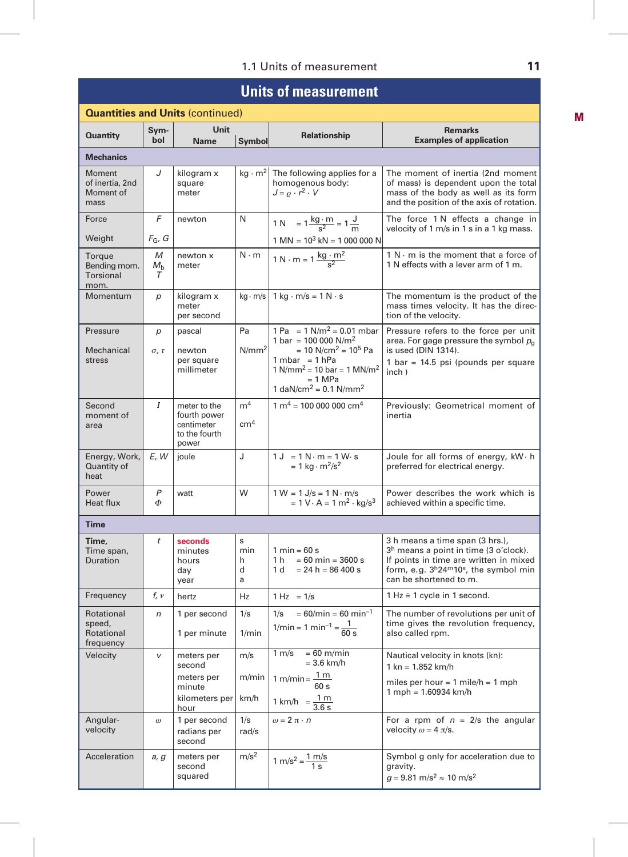# **Units of measurement**

|                                                    | <b>Quantities and Units (continued)</b> |                                                                               |                                   |                                                                                                                                                                                                                                                          |                                                                                                                                                                                                       |  |  |
|----------------------------------------------------|-----------------------------------------|-------------------------------------------------------------------------------|-----------------------------------|----------------------------------------------------------------------------------------------------------------------------------------------------------------------------------------------------------------------------------------------------------|-------------------------------------------------------------------------------------------------------------------------------------------------------------------------------------------------------|--|--|
| <b>Quantity</b>                                    | Sym-<br>bol                             | <b>Unit</b><br><b>Name</b>                                                    | Symbol                            | <b>Relationship</b>                                                                                                                                                                                                                                      | <b>Remarks</b><br><b>Examples of application</b>                                                                                                                                                      |  |  |
| <b>Mechanics</b>                                   |                                         |                                                                               |                                   |                                                                                                                                                                                                                                                          |                                                                                                                                                                                                       |  |  |
| Moment<br>of inertia, 2nd<br>Moment of<br>mass     | J                                       | kilogram x<br>square<br>meter                                                 | $kg \cdot m^2$                    | The following applies for a<br>homogenous body:<br>$J = \rho \cdot r^2 \cdot V$                                                                                                                                                                          | The moment of inertia (2nd moment<br>of mass) is dependent upon the total<br>mass of the body as well as its form<br>and the position of the axis of rotation.                                        |  |  |
| Force                                              | F                                       | newton                                                                        | N                                 | 1 N = $1 \frac{\text{kg} \cdot \text{m}}{\text{s}^2} = 1 \frac{\text{J}}{\text{m}}$                                                                                                                                                                      | The force 1 N effects a change in<br>velocity of 1 m/s in 1 s in a 1 kg mass.                                                                                                                         |  |  |
| Weight                                             | $F_G$ , G                               |                                                                               |                                   | $1 \text{ MN} = 10^3 \text{ kN} = 1000 000 \text{ N}$                                                                                                                                                                                                    |                                                                                                                                                                                                       |  |  |
| Torque<br>Bending mom.<br><b>Torsional</b><br>mom. | М<br>$M_{\rm b}$<br>$\tau$              | newton x<br>meter                                                             | $N \cdot m$                       | 1 N · m = $1 \frac{\text{kg} \cdot \text{m}^2}{\text{s}^2}$                                                                                                                                                                                              | $1 N \cdot m$ is the moment that a force of<br>1 N effects with a lever arm of 1 m.                                                                                                                   |  |  |
| Momentum                                           | р                                       | kilogram x<br>meter<br>per second                                             |                                   | $kg \cdot m/s$   1 kg $\cdot m/s = 1 N \cdot s$                                                                                                                                                                                                          | The momentum is the product of the<br>mass times velocity. It has the direc-<br>tion of the velocity.                                                                                                 |  |  |
| Pressure<br>Mechanical<br>stress                   | p<br>$\sigma$ , $\tau$                  | pascal<br>newton<br>per square<br>millimeter                                  | Pa<br>N/mm <sup>2</sup>           | 1 Pa = $1 \text{ N/m}^2$ = 0.01 mbar<br>1 bar = 100 000 $N/m^2$<br>$= 10$ N/cm <sup>2</sup> = 10 <sup>5</sup> Pa<br>$1 mbar = 1 hPa$<br>1 N/mm <sup>2</sup> = 10 bar = 1 MN/m <sup>2</sup><br>$= 1$ MPa<br>1 daN/cm <sup>2</sup> = 0.1 N/mm <sup>2</sup> | Pressure refers to the force per unit<br>area. For gage pressure the symbol $p_{\alpha}$<br>is used (DIN 1314).<br>1 bar = 14.5 psi (pounds per square<br>inch)                                       |  |  |
| Second<br>moment of<br>area                        | Ι                                       | meter to the<br>fourth power<br>centimeter<br>to the fourth<br>power          | m <sup>4</sup><br>cm <sup>4</sup> | $1 m4 = 100 000 000 cm4$                                                                                                                                                                                                                                 | Previously: Geometrical moment of<br>inertia                                                                                                                                                          |  |  |
| Energy, Work,<br>Quantity of<br>heat               | E, W                                    | joule                                                                         | J                                 | $1 J = 1 N \cdot m = 1 W \cdot s$<br>$= 1 \text{ kg} \cdot \text{m}^2/\text{s}^2$                                                                                                                                                                        | Joule for all forms of energy, kW · h<br>preferred for electrical energy.                                                                                                                             |  |  |
| Power<br>Heat flux                                 | P<br>Ф                                  | watt                                                                          | W                                 | $1 W = 1 J/s = 1 N \cdot m/s$<br>$= 1 \text{ V} \cdot \text{A} = 1 \text{ m}^2 \cdot \text{kg/s}^3$                                                                                                                                                      | Power describes the work which is<br>achieved within a specific time.                                                                                                                                 |  |  |
| <b>Time</b>                                        |                                         |                                                                               |                                   |                                                                                                                                                                                                                                                          |                                                                                                                                                                                                       |  |  |
| Time,<br>Time span,<br>Duration                    | t                                       | seconds<br>minutes<br>hours<br>day<br>year                                    | s<br>min<br>h<br>d<br>a           | $1 min = 60 s$<br>$1 h = 60 min = 3600 s$<br>$1 d = 24 h = 86 400 s$                                                                                                                                                                                     | 3 h means a time span (3 hrs.),<br>3 <sup>h</sup> means a point in time (3 o'clock).<br>If points in time are written in mixed<br>form, e.g. $3^h24^m10^s$ , the symbol min<br>can be shortened to m. |  |  |
| Frequency                                          | f, v                                    | hertz                                                                         | Hz                                | $1 Hz = 1/s$                                                                                                                                                                                                                                             | 1 Hz ≙ 1 cycle in 1 second.                                                                                                                                                                           |  |  |
| Rotational<br>speed,<br>Rotational<br>frequency    | n                                       | 1 per second<br>1 per minute                                                  | 1/s<br>1/min                      | $1/s = 60/min = 60 min^{-1}$<br>$1/\text{min} = 1 \text{ min}^{-1} = \frac{1}{60 \text{ s}}$                                                                                                                                                             | The number of revolutions per unit of<br>time gives the revolution frequency,<br>also called rpm.                                                                                                     |  |  |
| Velocity                                           | v                                       | meters per<br>second<br>meters per<br>minute<br>kilometers per   km/h<br>hour | m/s                               | $1 m/s = 60 m/min$<br>$= 3.6$ km/h<br>m/min   1 m/min = $\frac{1 \text{ m}}{2}$<br>60 s<br>1 m<br>1 km/h<br>3.6 s                                                                                                                                        | Nautical velocity in knots (kn):<br>$1 km = 1.852 km/h$<br>miles per hour = $1$ mile/h = $1$ mph<br>1 mph = 1.60934 km/h                                                                              |  |  |
| Angular-<br>velocity                               | $\omega$                                | 1 per second<br>radians per<br>second                                         | 1/s<br>rad/s                      | $\omega = 2\,\pi\cdot n$                                                                                                                                                                                                                                 | For a rpm of $n = 2/s$ the angular<br>velocity $\omega = 4 \pi/s$ .                                                                                                                                   |  |  |
| Acceleration                                       | a, g                                    | meters per<br>second<br>squared                                               | m/s <sup>2</sup>                  | $1 \text{ m/s}^2 = \frac{1 \text{ m/s}}{1 \text{ s}}$                                                                                                                                                                                                    | Symbol g only for acceleration due to<br>gravity.<br>$q = 9.81$ m/s <sup>2</sup> $\approx 10$ m/s <sup>2</sup>                                                                                        |  |  |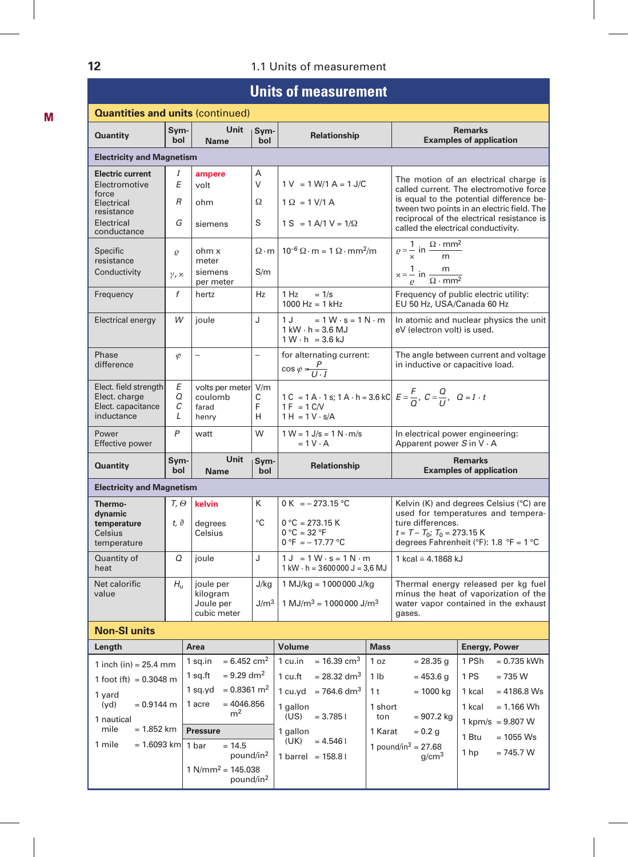## **12** 1.1 Units of measurement

# **Units of measurement**

| <b>Quantities and units (continued)</b>                                    |                        |                                                       |                          |                                                                                                                                     |                |                                                                       |                                                                                                                         |
|----------------------------------------------------------------------------|------------------------|-------------------------------------------------------|--------------------------|-------------------------------------------------------------------------------------------------------------------------------------|----------------|-----------------------------------------------------------------------|-------------------------------------------------------------------------------------------------------------------------|
| <b>Quantity</b>                                                            | Sym-<br>bol            | Unit<br><b>Name</b>                                   | Sym-<br>bol              | Relationship                                                                                                                        |                |                                                                       | <b>Remarks</b><br><b>Examples of application</b>                                                                        |
| <b>Electricity and Magnetism</b>                                           |                        |                                                       |                          |                                                                                                                                     |                |                                                                       |                                                                                                                         |
| <b>Electric current</b><br>Electromotive<br>force                          | Ι<br>E                 | ampere<br>volt                                        | Α<br>$\vee$              | $1 V = 1 W/1 A = 1 J/C$                                                                                                             |                |                                                                       | The motion of an electrical charge is<br>called current. The electromotive force                                        |
| Electrical                                                                 | $\overline{R}$         | ohm                                                   | Ω                        | $1 \Omega = 1 \text{ V}/1 \text{ A}$                                                                                                |                |                                                                       | is equal to the potential difference be-<br>tween two points in an electric field. The                                  |
| resistance<br>Electrical<br>conductance                                    | G                      | siemens                                               | S                        | $1 S = 1 A/1 V = 1/\Omega$                                                                                                          |                | called the electrical conductivity.                                   | reciprocal of the electrical resistance is                                                                              |
| Specific<br>resistance                                                     | $\varrho$              | ohm x<br>meter                                        |                          | $\Omega \cdot m$   10 <sup>-6</sup> $\Omega \cdot m = 1 \Omega \cdot mm^2/m$                                                        |                | $\rho = \frac{1}{\alpha}$ in $\frac{\Omega \cdot m m^2}{m}$           |                                                                                                                         |
| Conductivity                                                               | $\gamma$ , $\chi$      | siemens<br>per meter                                  | S/m                      |                                                                                                                                     |                | $x = \frac{1}{\rho}$ in $\frac{m}{\Omega \cdot mm^2}$                 |                                                                                                                         |
| Frequency                                                                  | f                      | hertz                                                 | Hz                       | 1 Hz<br>$= 1/s$<br>$1000$ Hz = 1 kHz                                                                                                |                | EU 50 Hz, USA/Canada 60 Hz                                            | Frequency of public electric utility:                                                                                   |
| Electrical energy                                                          | W                      | joule                                                 | J                        | $= 1 W \cdot s = 1 N \cdot m$<br>1 J<br>$1$ kW $\cdot$ h = 3.6 MJ<br>$1 W \cdot h = 3.6 kJ$                                         |                | eV (electron volt) is used.                                           | In atomic and nuclear physics the unit                                                                                  |
| Phase<br>difference                                                        | $\varphi$              | $\overline{\phantom{0}}$                              | $\overline{\phantom{0}}$ | for alternating current:<br>$\cos \varphi = \frac{P}{U \cdot I}$                                                                    |                | in inductive or capacitive load.                                      | The angle between current and voltage                                                                                   |
| Elect. field strength<br>Elect. charge<br>Elect. capacitance<br>inductance | Е<br>Q<br>С<br>L       | volts per meter V/m<br>coulomb<br>farad<br>henry      | С<br>F<br>H              | 1 C = 1 A · 1 s; 1 A · h = 3.6 kC $E = \frac{F}{Q}$ , $C = \frac{Q}{U}$ , $Q = I \cdot t$<br>$1 F = 1 C/V$<br>$1 H = 1 V \cdot s/A$ |                |                                                                       |                                                                                                                         |
| Power<br>Effective power                                                   | $\mathsf{P}$           | watt                                                  | W                        | $1 W = 1 J/s = 1 N \cdot m/s$<br>$= 1 V \cdot A$                                                                                    |                | In electrical power engineering:<br>Apparent power $S$ in $V \cdot A$ |                                                                                                                         |
| <b>Quantity</b>                                                            | Sym-<br>bol            | Unit<br>Name                                          | Sym-<br>bol              | Relationship                                                                                                                        |                | <b>Remarks</b><br><b>Examples of application</b>                      |                                                                                                                         |
| <b>Electricity and Magnetism</b>                                           |                        |                                                       |                          |                                                                                                                                     |                |                                                                       |                                                                                                                         |
| Thermo-<br>dynamic<br>temperature<br>Celsius<br>temperature                | Т, Ө<br>$t, \vartheta$ | kelvin<br>degrees<br>Celsius                          | K<br>°C                  | 0 K = $-273.15$ °C<br>$0^{\circ}$ C = 273.15 K<br>$0 °C = 32 °F$<br>$0 °F = -17.77 °C$                                              |                | ture differences.<br>$t = T - T_0$ ; $T_0 = 273.15$ K                 | Kelvin (K) and degrees Celsius (°C) are<br>used for temperatures and tempera-<br>degrees Fahrenheit (°F): 1.8 °F = 1 °C |
| Quantity of<br>heat                                                        | Q                      | joule                                                 | J                        | $1 J = 1 W \cdot s = 1 N \cdot m$<br>$1$ kW $\cdot$ h = 3600000 J = 3,6 MJ                                                          |                | 1 kcal ≅ 4.1868 kJ                                                    |                                                                                                                         |
| Net calorific<br>value                                                     | $H_{\rm H}$            | joule per<br>kilogram<br>Joule per                    | J/kg<br>$\rm J/m^3$      | $1$ MJ/kg = 1000000 J/kg<br>$1 \text{ MJ/m}^3$ = 1000000 J/m <sup>3</sup>                                                           |                |                                                                       | Thermal energy released per kg fuel<br>minus the heat of vaporization of the<br>water vapor contained in the exhaust    |
| <b>Non-SI units</b>                                                        |                        | cubic meter                                           |                          |                                                                                                                                     |                | gases.                                                                |                                                                                                                         |
| Length                                                                     |                        | Area                                                  |                          | Volume                                                                                                                              | <b>Mass</b>    |                                                                       | <b>Energy, Power</b>                                                                                                    |
|                                                                            |                        | $= 6.452$ cm <sup>2</sup><br>1 sq.in                  |                          | 1 cu.in = $16.39 \text{ cm}^3$                                                                                                      | 1 oz           | $= 28.35$ g                                                           | 1 PSh<br>$= 0.735$ kWh                                                                                                  |
| 1 inch (in) = $25.4$ mm<br>1 foot (ft) = $0.3048$ m                        |                        | 1 sq.ft = $9.29 \text{ dm}^2$                         |                          | 1 cu.ft = $28.32 \text{ dm}^3$                                                                                                      | 1 lb           |                                                                       | $= 453.6 g$   1 PS = 735 W                                                                                              |
| 1 yard                                                                     |                        | 1 sq.yd = $0.8361$ m <sup>2</sup>                     |                          | 1 cu.yd = $764.6$ dm <sup>3</sup>                                                                                                   | 1 t            | $= 1000 kg$                                                           | $= 4186.8$ Ws<br>1 kcal                                                                                                 |
| (yd)<br>$= 0.9144$ m                                                       |                        | $= 4046.856$<br>1 acre<br>m <sup>2</sup>              |                          | 1 gallon<br>(US)<br>$= 3.7851$                                                                                                      | 1 short<br>ton | $= 907.2$ kg                                                          | $= 1.166$ Wh<br>1 kcal                                                                                                  |
| 1 nautical<br>$= 1.852$ km<br>mile                                         |                        | <b>Pressure</b>                                       |                          | 1 gallon                                                                                                                            | 1 Karat        | $= 0.2 g$                                                             | 1 kpm/s = $9.807 W$                                                                                                     |
| 1 mile<br>$= 1.6093$ km                                                    |                        | $= 14.5$<br>1 bar<br>pound/in <sup>2</sup>            |                          | (UK)<br>$= 4.5461$<br>1 barrel = $158.81$                                                                                           |                | 1 pound/in <sup>3</sup> = 27.68<br>g/cm <sup>3</sup>                  | 1 Btu<br>$= 1055$ Ws<br>1 <sub>hp</sub><br>$= 745.7 W$                                                                  |
|                                                                            |                        | $1 \text{ N/mm}^2 = 145.038$<br>pound/in <sup>2</sup> |                          |                                                                                                                                     |                |                                                                       |                                                                                                                         |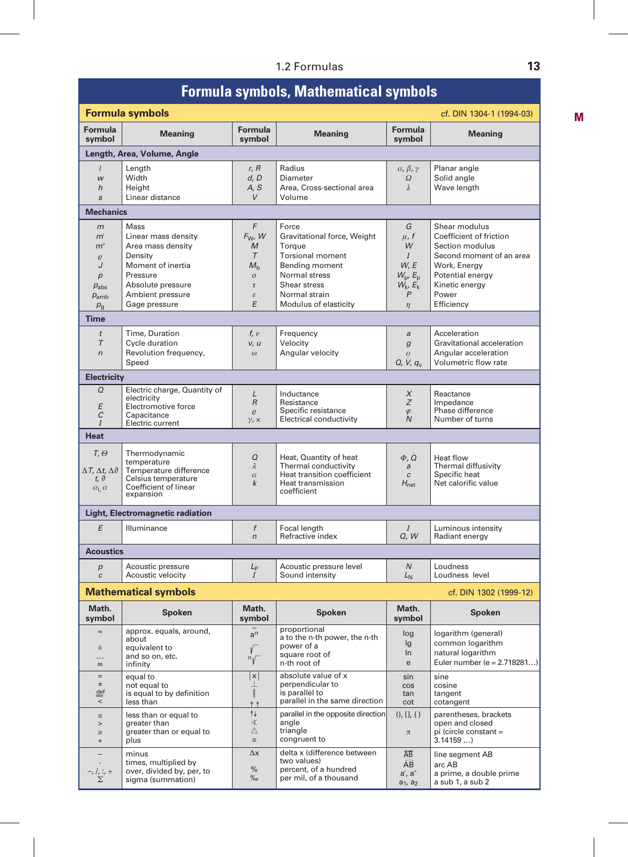# 1.2 Formulas **13**

# **Formula symbols, Mathematical symbols**

|                                              | <b>Formula symbols</b><br>cf. DIN 1304-1 (1994-03) |                            |                                                  |                                                           |                                              |  |
|----------------------------------------------|----------------------------------------------------|----------------------------|--------------------------------------------------|-----------------------------------------------------------|----------------------------------------------|--|
| Formula<br>symbol                            | <b>Meaning</b>                                     | Formula<br>symbol          | <b>Meaning</b>                                   | Formula<br>symbol                                         | <b>Meaning</b>                               |  |
|                                              | Length, Area, Volume, Angle                        |                            |                                                  |                                                           |                                              |  |
| l<br>W<br>h                                  | Lenath<br>Width<br>Height                          | r, R<br>d, D<br>A, S       | Radius<br>Diameter<br>Area, Cross-sectional area | $\alpha$ , $\beta$ , $\gamma$<br>$\varOmega$<br>$\lambda$ | Planar angle<br>Solid angle<br>Wave length   |  |
| $\boldsymbol{s}$                             | Linear distance                                    | $\vee$                     | Volume                                           |                                                           |                                              |  |
| <b>Mechanics</b>                             |                                                    |                            |                                                  |                                                           |                                              |  |
| m                                            | <b>Mass</b>                                        | F                          | Force                                            | G                                                         | Shear modulus                                |  |
| m                                            | Linear mass density                                | $F_W$ , W                  | Gravitational force, Weight                      | $\mu$ , f                                                 | Coefficient of friction<br>Section modulus   |  |
| $m$ "<br>$\varrho$                           | Area mass density<br>Density                       | M<br>$\tau$                | Torque<br><b>Torsional moment</b>                | W<br>$\overline{I}$                                       | Second moment of an area                     |  |
| J                                            | Moment of inertia                                  | $M_{\rm b}$                | Bending moment                                   | W, E                                                      | Work, Energy                                 |  |
| $\boldsymbol{p}$                             | Pressure                                           | $\sigma$                   | Normal stress                                    | $W_p, E_p$                                                | Potential energy                             |  |
| $p_{\rm abs}$                                | Absolute pressure                                  | $\tau$                     | Shear stress                                     | $W_k$ , $E_k$                                             | Kinetic energy                               |  |
| $p_{\rm amb}$                                | Ambient pressure                                   | $\boldsymbol{\varepsilon}$ | Normal strain                                    | P                                                         | Power                                        |  |
| $p_{\rm g}$                                  | Gage pressure                                      | E                          | Modulus of elasticity                            | $\eta$                                                    | Efficiency                                   |  |
| Time                                         |                                                    |                            |                                                  |                                                           |                                              |  |
| $\dot{t}$                                    | Time, Duration                                     | f, v                       | Frequency                                        | a                                                         | Acceleration                                 |  |
| $\tau$                                       | Cycle duration                                     | v, u                       | Velocity                                         | $\boldsymbol{g}$                                          | Gravitational acceleration                   |  |
| $\overline{r}$                               | Revolution frequency,<br>Speed                     | $\omega$                   | Angular velocity                                 | $\alpha$<br>$Q, V, q_v$                                   | Angular acceleration<br>Volumetric flow rate |  |
| <b>Electricity</b>                           |                                                    |                            |                                                  |                                                           |                                              |  |
| Q                                            | Electric charge, Quantity of                       |                            |                                                  |                                                           |                                              |  |
|                                              | electricity                                        | L<br>$\,$ R                | Inductance<br>Resistance                         | X<br>Ζ                                                    | Reactance<br>Impedance                       |  |
| E                                            | Electromotive force                                | $\varrho$                  | Specific resistance                              | $\varphi$                                                 | Phase difference                             |  |
| C                                            | Capacitance<br>Electric current                    | $\gamma$ , $\chi$          | Electrical conductivity                          | $\overline{N}$                                            | Number of turns                              |  |
| <b>Heat</b>                                  |                                                    |                            |                                                  |                                                           |                                              |  |
|                                              |                                                    |                            |                                                  |                                                           |                                              |  |
| $T, \Theta$                                  | Thermodynamic<br>temperature                       | Q                          | Heat, Quantity of heat                           | $\Phi$ , $\tilde{Q}$                                      | Heat flow                                    |  |
| $\Delta T$ , $\Delta t$ , $\Delta \vartheta$ | Temperature difference                             | $\lambda$                  | Thermal conductivity                             | $\overline{a}$                                            | Thermal diffusivity                          |  |
| $t, \vartheta$                               | Celsius temperature                                | $\alpha$<br>k              | Heat transition coefficient<br>Heat transmission | $\boldsymbol{c}$<br>$H_{\text{net}}$                      | Specific heat<br>Net calorific value         |  |
| $\alpha$ <sub>l</sub> , $\alpha$             | Coefficient of linear<br>expansion                 |                            | coefficient                                      |                                                           |                                              |  |
|                                              | Light, Electromagnetic radiation                   |                            |                                                  |                                                           |                                              |  |
| E                                            | Illuminance                                        | f                          | Focal length                                     | $\overline{I}$                                            | Luminous intensity                           |  |
|                                              |                                                    | $\sqrt{n}$                 | Refractive index                                 | Q, W                                                      | Radiant energy                               |  |
| <b>Acoustics</b>                             |                                                    |                            |                                                  |                                                           |                                              |  |
| p                                            | Acoustic pressure                                  | $L_{\rm P}$                | Acoustic pressure level                          | $\overline{N}$                                            | Loudness                                     |  |
| $\overline{c}$                               | Acoustic velocity                                  | $\overline{I}$             | Sound intensity                                  | $L_{N}$                                                   | Loudness level                               |  |
|                                              | <b>Mathematical symbols</b>                        |                            |                                                  |                                                           | cf. DIN 1302 (1999-12)                       |  |
| Math.<br>symbol                              | <b>Spoken</b>                                      | Math.<br>symbol            | Spoken                                           | Math.<br>symbol                                           | <b>Spoken</b>                                |  |
| $\approx$                                    | approx. equals, around,                            | $a^n$                      | proportional<br>a to the n-th power, the n-th    | log                                                       | logarithm (general)                          |  |
| $\hat{=}$                                    | about<br>equivalent to                             |                            | power of a                                       | lg                                                        | common logarithm                             |  |
| .                                            | and so on, etc.                                    | V                          | square root of                                   | In                                                        | natural logarithm                            |  |
| $\infty$                                     | infinity                                           | $\sqrt[n]{}$               | n-th root of                                     | $\mathbf{e}% _{t}\left( t\right)$                         | Euler number (e = 2.718281)                  |  |
| $=$                                          | equal to                                           | x                          | absolute value of x                              | sin                                                       | sine                                         |  |
| $\ddagger$<br>$\stackrel{\text{def}}{=}$     | not equal to<br>is equal to by definition          | ⊥<br>$\parallel$           | perpendicular to<br>is parallel to               | $\cos$<br>tan                                             | cosine<br>tangent                            |  |
| ₹                                            | less than                                          | ↑↑                         | parallel in the same direction                   | cot                                                       | cotangent                                    |  |
| $\leq$                                       | less than or equal to                              | ↑↓                         | parallel in the opposite direction               | $(), []$ , $\{\}$                                         | parentheses, brackets                        |  |
| $\,>$                                        | greater than                                       | ≮                          | angle                                            |                                                           | open and closed                              |  |
| $\geq$                                       | greater than or equal to<br>plus                   | Δ<br>$\cong$               | triangle<br>congruent to                         | $\pi$                                                     | pi (circle constant =<br>3.14159             |  |
| $^{+}$                                       |                                                    | $\Delta x$                 | delta x (difference between                      |                                                           |                                              |  |
| $\overline{\phantom{0}}$                     | minus<br>times, multiplied by                      |                            | two values)                                      | $\overline{AB}$<br>$\widehat{AB}$                         | line segment AB<br>arc AB                    |  |
| -, /, :, ÷<br>∑                              | over, divided by, per, to                          | $\%$                       | percent, of a hundred                            | $a'$ , $a''$                                              | a prime, a double prime                      |  |
|                                              | sigma (summation)                                  | $\%$ o                     | per mil, of a thousand                           | $a_1, a_2$                                                | a sub 1, a sub 2                             |  |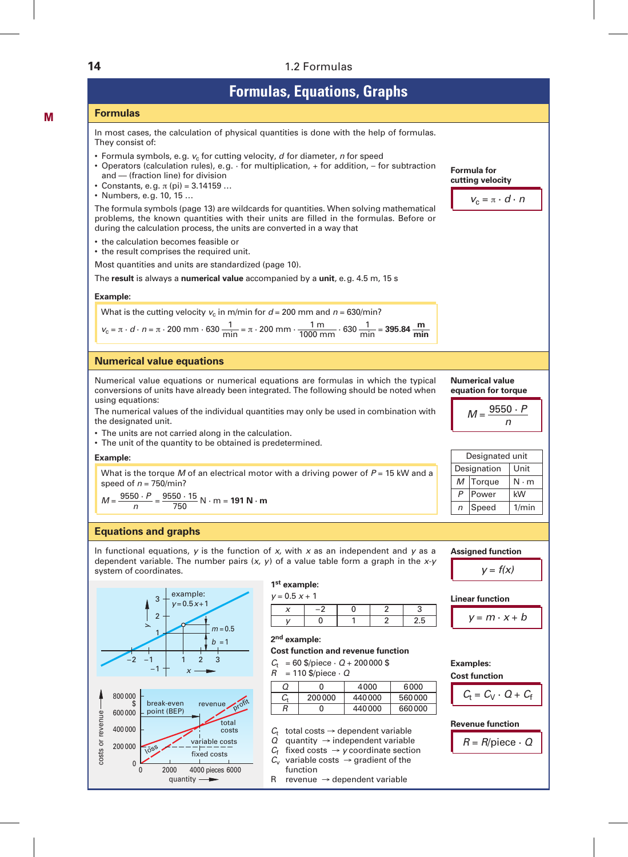### **14** 1.2 Formulas

| <b>Formulas, Equations, Graphs</b>                                                                                                                                                                                                                                                                       |                                                                |
|----------------------------------------------------------------------------------------------------------------------------------------------------------------------------------------------------------------------------------------------------------------------------------------------------------|----------------------------------------------------------------|
| <b>Formulas</b>                                                                                                                                                                                                                                                                                          |                                                                |
| In most cases, the calculation of physical quantities is done with the help of formulas.<br>They consist of:                                                                                                                                                                                             |                                                                |
| • Formula symbols, e.g. $v_c$ for cutting velocity, $d$ for diameter, $n$ for speed<br>• Operators (calculation rules), e.g. $\cdot$ for multiplication, $+$ for addition, $-$ for subtraction<br>and - (fraction line) for division<br>• Constants, e.g. $\pi$ (pi) = 3.14159<br>• Numbers, e.g. 10, 15 | Formula for<br>cutting velocity<br>$V_c = \pi \cdot d \cdot n$ |
| The formula symbols (page 13) are wildcards for quantities. When solving mathematical<br>problems, the known quantities with their units are filled in the formulas. Before or<br>during the calculation process, the units are converted in a way that                                                  |                                                                |
| • the calculation becomes feasible or<br>• the result comprises the required unit.                                                                                                                                                                                                                       |                                                                |
| Most quantities and units are standardized (page 10).                                                                                                                                                                                                                                                    |                                                                |
| The result is always a numerical value accompanied by a unit, e.g. 4.5 m, 15 s                                                                                                                                                                                                                           |                                                                |
| Example:                                                                                                                                                                                                                                                                                                 |                                                                |
| What is the cutting velocity $v_c$ in m/min for $d = 200$ mm and $n = 630$ /min?                                                                                                                                                                                                                         |                                                                |
| $v_c = \pi \cdot d \cdot n = \pi \cdot 200$ mm $\cdot 630 \frac{1}{\text{min}} = \pi \cdot 200$ mm $\cdot \frac{1 \text{ m}}{1000 \text{ mm}} \cdot 630 \frac{1}{\text{min}} = 395.84 \frac{\text{m}}{\text{min}}$                                                                                       |                                                                |
| <b>Numerical value equations</b>                                                                                                                                                                                                                                                                         |                                                                |
| Numerical value equations or numerical equations are formulas in which the typical<br>conversions of units have already been integrated. The following should be noted when<br>using equations:                                                                                                          | <b>Numerical value</b><br>equation for torque                  |
| The numerical values of the individual quantities may only be used in combination with<br>the designated unit.                                                                                                                                                                                           | $M = \frac{9550 \cdot P}{P}$                                   |
| • The units are not carried along in the calculation.<br>• The unit of the quantity to be obtained is predetermined.                                                                                                                                                                                     |                                                                |
| Example:                                                                                                                                                                                                                                                                                                 | Designated unit                                                |
| What is the torque M of an electrical motor with a driving power of $P = 15$ kW and a<br>speed of $n = 750$ /min?                                                                                                                                                                                        | Designation<br>Unit<br>Torque<br>М<br>$N \cdot m$              |
| $M = \frac{9550 \cdot P}{p} = \frac{9550 \cdot 15}{750} N \cdot m = 191 N \cdot m$                                                                                                                                                                                                                       | $\overline{P}$<br>Power<br>kW<br>Speed<br>1/min<br>$\sqrt{n}$  |
|                                                                                                                                                                                                                                                                                                          |                                                                |
| <b>Equations and graphs</b>                                                                                                                                                                                                                                                                              |                                                                |
| In functional equations, $y$ is the function of $x$ , with $x$ as an independent and $y$ as a                                                                                                                                                                                                            | <b>Assigned function</b>                                       |

*y* = *f(x)*

**Linear function**

$$
y = m \cdot x + b
$$

**Examples: Cost function**

$$
C_t = C_V \cdot Q + C_1
$$

**Revenue function**

 $R = R$ /piece  $\cdot$  *Q* 

**M**

In functional equations, *y* is the function of *x,* with *x* as an independent and *y* as a dependent variable. The number pairs (*x, y*) of a value table form a graph in the *x-y* system of coordinates.



quantity -

### **1st example:**

| $y = 0.5 x + 1$ |  |  |
|-----------------|--|--|
|                 |  |  |
|                 |  |  |

### **2nd example:**

**Cost function and revenue function**

 $C_t$  = 60 \$/piece · *Q* + 200 000 \$<br>*R* = 110 \$/piece · *Q* 

*R* = 110 \$/piece · *Q*

| Ω  | 0      | 4000   | 6000   |
|----|--------|--------|--------|
| C, | 200000 | 440000 | 560000 |
| R  | 0      | 440000 | 660000 |

- $C_t$  total costs  $\rightarrow$  dependent variable
- $Q$  quantity  $\rightarrow$  independent variable
- $C_f$  fixed costs  $\rightarrow$  *y* coordinate section
- $C_v$  variable costs  $\rightarrow$  gradient of the function
- R revenue  $\rightarrow$  dependent variable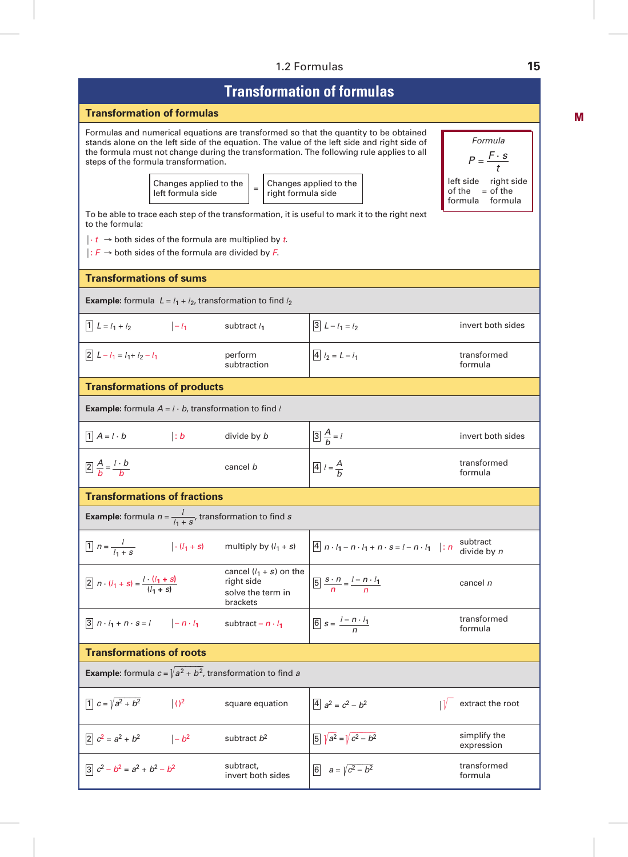#### 1.2 Formulas **15**

# **Transformation of formulas**

#### **Transformation of formulas**

Formulas and numerical equations are transformed so that the quantity to be obtained stands alone on the left side of the equation. The value of the left side and right side of the formula must not change during the transformation. The following rule applies to all steps of the formula transformation.



*Formula*  $P = \frac{F \cdot s}{F}$ *t* left side right side<br>of the  $=$  of the  $=$  of the formula formula

To be able to trace each step of the transformation, it is useful to mark it to the right next to the formula:

 $\cdot t$  → both sides of the formula are multiplied by *t*.

æ: *F* ∫ both sides of the formula are divided by *F*.

#### **Transformations of sums**

**Example:** formula  $L = l_1 + l_2$ , transformation to find  $l_2$ 

| $1L = l_1 + l_2$<br>$ -l_1$                                                              |                         | subtract $l_1$                                                            | $3L - l_1 = l_2$                                                          | invert both sides          |
|------------------------------------------------------------------------------------------|-------------------------|---------------------------------------------------------------------------|---------------------------------------------------------------------------|----------------------------|
| $2L-l_1 = l_1 + l_2 - l_1$                                                               |                         | perform<br>subtraction                                                    | $\boxed{4} l_2 = L - l_1$                                                 | transformed<br>formula     |
| <b>Transformations of products</b>                                                       |                         |                                                                           |                                                                           |                            |
| <b>Example:</b> formula $A = l \cdot b$ , transformation to find l                       |                         |                                                                           |                                                                           |                            |
| $1 \mid A = l \cdot b$                                                                   | $\vert : b$             | divide by b                                                               | $\boxed{3}\frac{A}{b}=l$                                                  | invert both sides          |
| $\boxed{2} \frac{A}{b} = \frac{l \cdot b}{b}$                                            |                         | cancel b                                                                  | $\boxed{4}$ $l = \frac{A}{b}$                                             | transformed<br>formula     |
| <b>Transformations of fractions</b>                                                      |                         |                                                                           |                                                                           |                            |
| <b>Example:</b> formula $n = \frac{l}{l_1 + s}$ , transformation to find s               |                         |                                                                           |                                                                           |                            |
| $\boxed{1}$ $n = \frac{l}{l_1 + s}$                                                      |                         | $ \cdot (l_1 + s)$ multiply by $(l_1 + s)$                                | $\boxed{4}$ $n \cdot l_1 - n \cdot l_1 + n \cdot s = l - n \cdot l_1$ : n | subtract<br>divide by n    |
| 2 $n \cdot (l_1 + s) = \frac{l \cdot (l_1 + s)}{(l_1 + s)}$                              |                         | cancel $(l_1 + s)$ on the<br>right side<br>solve the term in<br>brackets  | $\boxed{5} \frac{s \cdot n}{n} = \frac{l - n \cdot l_1}{n}$               | cancel n                   |
| $\boxed{3}$ $n \cdot l_1 + n \cdot s = l$ $\boxed{-n \cdot l_1}$ subtract $-n \cdot l_1$ |                         |                                                                           | 6 $s = \frac{l - n \cdot l_1}{n}$                                         | transformed<br>formula     |
| <b>Transformations of roots</b>                                                          |                         |                                                                           |                                                                           |                            |
|                                                                                          |                         | <b>Example:</b> formula $c = \sqrt{a^2 + b^2}$ , transformation to find a |                                                                           |                            |
| $\sqrt{1}$ $c = \sqrt{a^2 + b^2}$                                                        | $\vert$ () <sup>2</sup> | square equation                                                           | $\boxed{4}$ $a^2 = c^2 - b^2$                                             | extract the root           |
| $\boxed{2}$ $c^2 = a^2 + b^2$ $\boxed{-b^2}$                                             |                         | subtract $b^2$                                                            | $\sqrt{a^2} = \sqrt{c^2 - b^2}$                                           | simplify the<br>expression |
| $3c^2-b^2 = a^2 + b^2 - b^2$                                                             |                         | subtract,<br>invert both sides                                            | 6 $a = \sqrt{c^2 - b^2}$                                                  | transformed<br>formula     |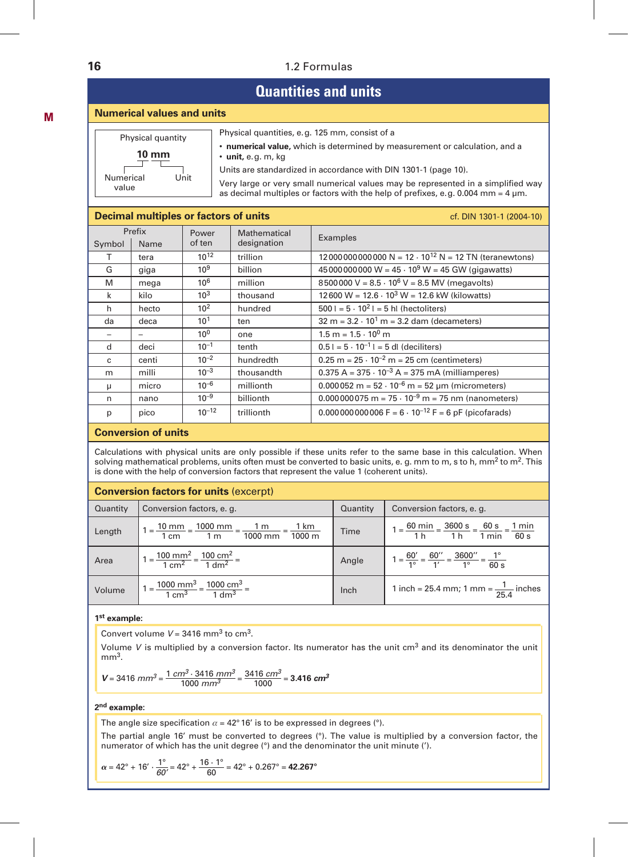### **16** 1.2 Formulas

# **Quantities and units**

#### **Numerical values and units**

| Physical quantity          | Physical quantities, e.g. 125 mm, consist of a                                                                                                                            |
|----------------------------|---------------------------------------------------------------------------------------------------------------------------------------------------------------------------|
| 10 mm                      | • numerical value, which is determined by measurement or calculation, and a<br>$\cdot$ unit, e.g. m, kg                                                                   |
|                            | Units are standardized in accordance with DIN 1301-1 (page 10).                                                                                                           |
| Unit<br>Numerical<br>value | Very large or very small numerical values may be represented in a simplified way<br>as decimal multiples or factors with the help of prefixes, e.g. 0.004 mm = $4 \mu$ m. |

#### **Decimal multiples or factors of units** can be changed as a cf. DIN 1301-1 (2004-10)

| Symbol | Prefix<br>Name | Power<br>of ten | Mathematical<br>designation | Examples                                                       |
|--------|----------------|-----------------|-----------------------------|----------------------------------------------------------------|
| т      | tera           | $10^{12}$       | trillion                    | 120000000000000 N = $12 \cdot 10^{12}$ N = 12 TN (teranewtons) |
| G      | giga           | 10 <sup>9</sup> | billion                     | 45 000 000 000 W = $45 \cdot 10^9$ W = 45 GW (gigawatts)       |
| M      | mega           | $10^{6}$        | million                     | 8500000 V = $8.5 \cdot 10^6$ V = $8.5$ MV (megavolts)          |
| k      | kilo           | 10 <sup>3</sup> | thousand                    | $12600 W = 12.6 \cdot 10^3 W = 12.6$ kW (kilowatts)            |
| h      | hecto          | 10 <sup>2</sup> | hundred                     | $5001 = 5 \cdot 10^21 = 5$ hl (hectoliters)                    |
| da     | deca           | 10 <sup>1</sup> | ten                         | $32 m = 3.2 \cdot 10^1 m = 3.2$ dam (decameters)               |
|        |                | $10^{0}$        | one                         | $1.5 m = 1.5 \cdot 10^{0} m$                                   |
| d      | deci           | $10^{-1}$       | tenth                       | $0.51 = 5 \cdot 10^{-1} = 5$ dl (deciliters)                   |
| c      | centi          | $10^{-2}$       | hundredth                   | $0.25$ m = $25 \cdot 10^{-2}$ m = 25 cm (centimeters)          |
| m      | milli          | $10^{-3}$       | thousandth                  | $0.375 A = 375 \cdot 10^{-3} A = 375 mA$ (milliamperes)        |
| μ      | micro          | $10^{-6}$       | millionth                   | $0.000052$ m = $52 \cdot 10^{-6}$ m = $52 \mu$ m (micrometers) |
| n      | nano           | $10^{-9}$       | billionth                   | $0.000000075$ m = $75 \cdot 10^{-9}$ m = 75 nm (nanometers)    |
| p      | pico           | $10^{-12}$      | trillionth                  | $0.000000000006 F = 6 \cdot 10^{-12} F = 6 pF$ (picofarads)    |

#### **Conversion of units**

Calculations with physical units are only possible if these units refer to the same base in this calculation. When solving mathematical problems, units often must be converted to basic units, e. g. mm to m, s to h, mm<sup>2</sup> to m<sup>2</sup>. This is done with the help of conversion factors that represent the value 1 (coherent units).

#### **Conversion factors for units** (excerpt)

| Quantity | Conversion factors, e. g.                                                                                                                                  | Quantity | Conversion factors, e. g.                                                                                                                               |
|----------|------------------------------------------------------------------------------------------------------------------------------------------------------------|----------|---------------------------------------------------------------------------------------------------------------------------------------------------------|
| Length   | $1 = \frac{10 \text{ mm}}{1 \text{ cm}} = \frac{1000 \text{ mm}}{1 \text{ m}} = \frac{1 \text{ m}}{1000 \text{ mm}} = \frac{1 \text{ km}}{1000 \text{ m}}$ | Time     | $1 = \frac{60 \text{ min}}{1 \text{ h}} = \frac{3600 \text{ s}}{1 \text{ h}} = \frac{60 \text{ s}}{1 \text{ min}} = \frac{1 \text{ min}}{60 \text{ s}}$ |
| Area     | $1 = \frac{100 \text{ mm}^2}{1 \text{ cm}^2} = \frac{100 \text{ cm}^2}{1 \text{ dm}^2} =$                                                                  | Angle    | $1 = \frac{60'}{1^\circ} = \frac{60''}{1'} = \frac{3600''}{1^\circ} = \frac{1^\circ}{60 \text{ s}}$                                                     |
| Volume   | $1 = \frac{1000 \text{ mm}^3}{1 \text{ cm}^3} = \frac{1000 \text{ cm}^3}{1 \text{ dm}^3} =$                                                                | Inch     | 1 inch = 25.4 mm; 1 mm = $\frac{1}{25.4}$ inches                                                                                                        |

#### **1st example:**

Convert volume  $V = 3416$  mm<sup>3</sup> to cm<sup>3</sup>.

Volume *V* is multiplied by a conversion factor. Its numerator has the unit cm3 and its denominator the unit  $mm<sup>3</sup>$ .

$$
V = 3416 \, mm^3 = \frac{1 \, cm^3 \cdot 3416 \, mm^3}{1000 \, mm^3} = \frac{3416 \, cm^3}{1000} = 3.416 \, cm^3
$$

#### **2nd example:**

The angle size specification  $\alpha = 42^{\circ}$  16' is to be expressed in degrees (°).

The partial angle 16' must be converted to degrees (°). The value is multiplied by a conversion factor, the numerator of which has the unit degree (°) and the denominator the unit minute (').

$$
\alpha = 42^{\circ} + 16' \cdot \frac{1^{\circ}}{60'} = 42^{\circ} + \frac{16 \cdot 1^{\circ}}{60} = 42^{\circ} + 0.267^{\circ} = 42.267^{\circ}
$$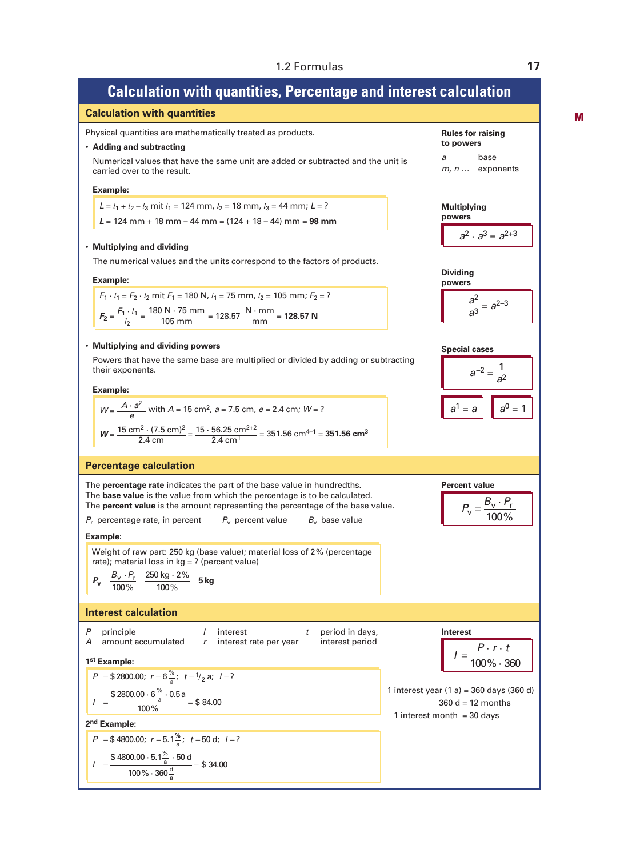# **Calculation with quantities, Percentage and interest calculation**

**Calculation with quantities**

Physical quantities are mathematically treated as products.

#### • **Adding and subtracting**

 Numerical values that have the same unit are added or subtracted and the unit is carried over to the result.

#### **Example:**

 $L = l_1 + l_2 - l_3$  mit  $l_1 = 124$  mm,  $l_2 = 18$  mm,  $l_3 = 44$  mm;  $L = ?$ *L* = 124 mm + 18 mm – 44 mm = (124 + 18 – 44) mm = **98 mm**

#### • **Multiplying and dividing**

The numerical values and the units correspond to the factors of products.

#### **Example:**

$$
F_1 \cdot l_1 = F_2 \cdot l_2 \text{ mit } F_1 = 180 \text{ N}, l_1 = 75 \text{ mm}, l_2 = 105 \text{ mm}; F_2 = ?
$$
\n
$$
F_2 = \frac{F_1 \cdot l_1}{l_2} = \frac{180 \text{ N} \cdot 75 \text{ mm}}{105 \text{ mm}} = 128.57 \text{ N} \cdot \frac{\text{mm}}{\text{mm}} = 128.57 \text{ N}
$$

#### • **Multiplying and dividing powers**

 Powers that have the same base are multiplied or divided by adding or subtracting their exponents.

#### **Example:**

$$
W = \frac{A \cdot a^2}{e}
$$
 with A = 15 cm<sup>2</sup>, a = 7.5 cm, e = 2.4 cm; W = ?  

$$
W = \frac{15 \text{ cm}^2 \cdot (7.5 \text{ cm})^2}{2.4 \text{ cm}} = \frac{15 \cdot 56.25 \text{ cm}^{2+2}}{2.4 \text{ cm}^1} = 351.56 \text{ cm}^{4-1} = 351.56 \text{ cm}^3
$$

#### **Percentage calculation**

The **percentage rate** indicates the part of the base value in hundredths. The **base value** is the value from which the percentage is to be calculated. The **percent value** is the amount representing the percentage of the base value.

 $P_r$  percentage rate, in percent  $P_v$  percent value  $B_v$  base value

*interest period* 

#### **Example:**

Weight of raw part: 250 kg (base value); material loss of 2% (percentage rate); material loss in kg = ? (percent value)

$$
P_{\rm v} = \frac{B_{\rm v} \cdot P_{\rm r}}{100\%} = \frac{250 \text{ kg} \cdot 2\%}{100\%} = 5 \text{ kg}
$$

#### **Interest calculation**

| P | principle          | I | interest               | t               | period in days, | Interest |
|---|--------------------|---|------------------------|-----------------|-----------------|----------|
| A | amount accumulated | r | interest rate per year | interest period | I               |          |

\n**1st Example:**

\n
$$
I = \frac{1}{2}
$$

$$
P = $2800.00; r = 6\frac{\%}{a}; t = \frac{1}{2}a; l = ?
$$
  

$$
I = \frac{$2800.00 \cdot 6\frac{\%}{a} \cdot 0.5a}{100} = $84.00
$$

 $100\%$ 

### 4800.00; \$ . *P r* = = 5 1% *I* = **2nd Example:**

$$
P = $4800.00; r = 5.1\frac{\%}{a}; t = 50 \text{ d}; l = ?
$$
  

$$
I = \frac{$4800.00 \cdot 5.1\frac{\%}{a} \cdot 50 \text{ d}}{100\% \cdot 360\frac{\text{d}}{a}} = $34.00
$$

Rules for raising  
to powers  
\na base  
\n*m*, *n* ... exponents  
\nMultiplying  
\npowers  
\n
$$
a^2 \cdot a^3 = a^{2+3}
$$
  
\nDividing  
\npowers  
\n $\frac{a^2}{a^3} = a^{2-3}$   
\nSpecial cases  
\n $a^{-2} = \frac{1}{a^2}$   
\n $a^1 = a$   $a^0 = 1$ 

$$
P_{\rm v} = \frac{B_{\rm v} \cdot P_{\rm r}}{100\%}
$$

$$
P_{\rm v} = \frac{-\rm v - r}{100\%}
$$

$$
I = \frac{P \cdot r \cdot t}{100\% \cdot 360}
$$
  
1 interest year (1 a) = 360 days (360 c  
360 d = 12 months

1 interest month  $=$  30 days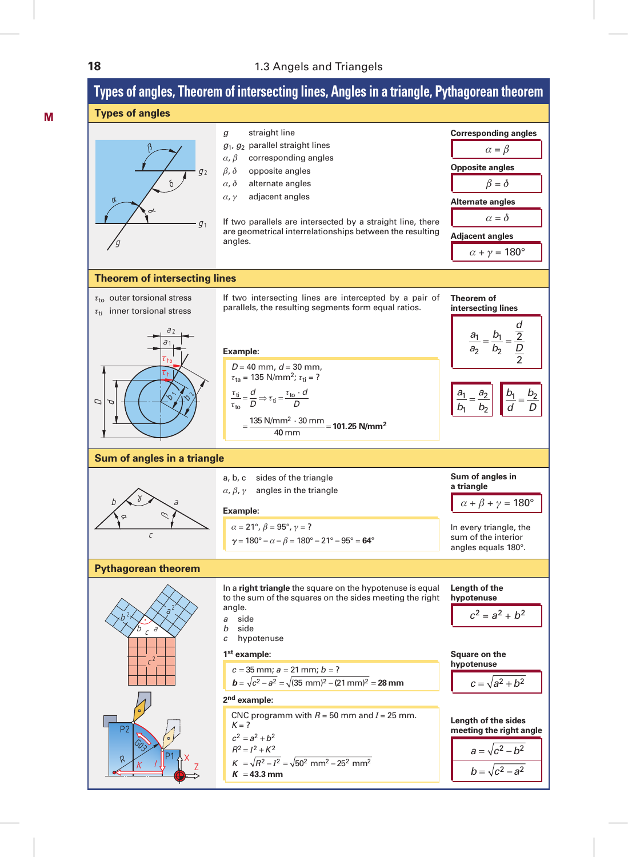#### **18** 1.3 Angels and Triangels

#### å ¿  $b \bigwedge^{\circ}$ c  $\gamma$ **Sum of angles in a triangle** ¿  $\delta$ å $\rightarrow$ g  $Q<sub>2</sub>$  $\sigma$  $b^2$   $\left(\sqrt{a^2}\right)$  $c<sup>2</sup>$  $b \overline{c}$ **Types of angles, Theorem of intersecting lines, Angles in a triangle, Pythagorean theorem Types of angles Theorem of intersecting lines Pythagorean theorem** Dd $a<sub>2</sub>$  $\tau_{\texttt{to}}$  $\tau_{\rm ff}$  $\overline{d}$ 1  $\varphi$  ,  $\infty$ *g* straight line *g*1, *g*<sup>2</sup> parallel straight lines  $\alpha$ ,  $\beta$  corresponding angles  $\beta$ ,  $\delta$  opposite angles  $\alpha$ ,  $\delta$  alternate angles  $\alpha$ ,  $\gamma$  adjacent angles If two parallels are intersected by a straight line, there are geometrical interrelationships between the resulting angles. If two intersecting lines are intercepted by a pair of parallels, the resulting segments form equal ratios.  $\alpha = \beta$ **Corresponding angles**  $\beta = \delta$ **Opposite angles**  $\alpha = \delta$ **Alternate angles**  $\alpha + \nu = 180^{\circ}$ **Adjacent angles** *a b a b* 1 1 2  $\overline{c}$  $=\frac{a_2}{b}$   $\left| \begin{array}{c} \frac{b}{c} \end{array} \right|$ *d*  $\frac{b_1}{1} = \frac{b_2}{2}$ *D a*  $rac{a_1}{a_2}$ *b b d D* 2 <u>'1</u>  $\overline{c}$ 2 2  $=\frac{24}{L}$  = **Theorem of intersecting lines**  $\alpha + \beta + \gamma = 180^{\circ}$ **Sum of angles in a triangle** In every triangle, the sum of the interior angles equals 180°. *D* = 40 mm, *d* = 30 mm,  $\tau_{ta}$  = 135 N/mm<sup>2</sup>;  $\tau_{ti}$  = ? **Example:**  $\alpha = 21^{\circ}, \beta = 95^{\circ}, \gamma = ?$  $\gamma = 180^\circ - \alpha - \beta = 180^\circ - 21^\circ - 95^\circ = 64^\circ$ **Example:**  $\frac{\tau_{\text{ti}}}{\tau_{\text{to}}} = \frac{d}{D} \Rightarrow \tau_{\text{ti}} = \frac{\tau_{\text{to}}}{D}$  $=\frac{135 \text{ N/mm}^2 \cdot 30 \text{ mm}}{40 \text{ mm}} = 101.25 \text{ N/mm}^2$ *D d D* ·  $40 \text{ mm}$  $\tau_{\text{to}}$  outer torsional stress  $\tau_{ti}$  inner torsional stress a, b, c sides of the triangle  $\alpha$ ,  $\beta$ ,  $\gamma$  angles in the triangle  $c = 35$  mm;  $a = 21$  mm;  $b = ?$  $$ **1st example:**  $c^2 = a^2 + b^2$ **Length of the hypotenuse** In a **right triangle** the square on the hypotenuse is equal to the sum of the squares on the sides meeting the right angle. *a* side *b* side *c* hypotenuse  $c = \sqrt{a^2 + b^2}$ **Square on the hypotenuse**

GO<sub>S</sub>  $P1 \lambda x$ Z  $K$   $l$  $K = ?$ **2nd example:**  $c^2 = a^2 + b^2$  $R^2 = I^2 + K^2$ *K R K* **43.3 mm**

P2

R

CNC programm with  $R = 50$  mm and  $I = 25$  mm.

$$
= \sqrt{R^2 - I^2} = \sqrt{50^2 \text{ mm}^2 - 25^2 \text{ mm}^2}
$$
  
= 43.3 mm

 $a = \sqrt{c^2 - h^2}$  $b = \sqrt{c^2 - a^2}$ **Length of the sides meeting the right angle**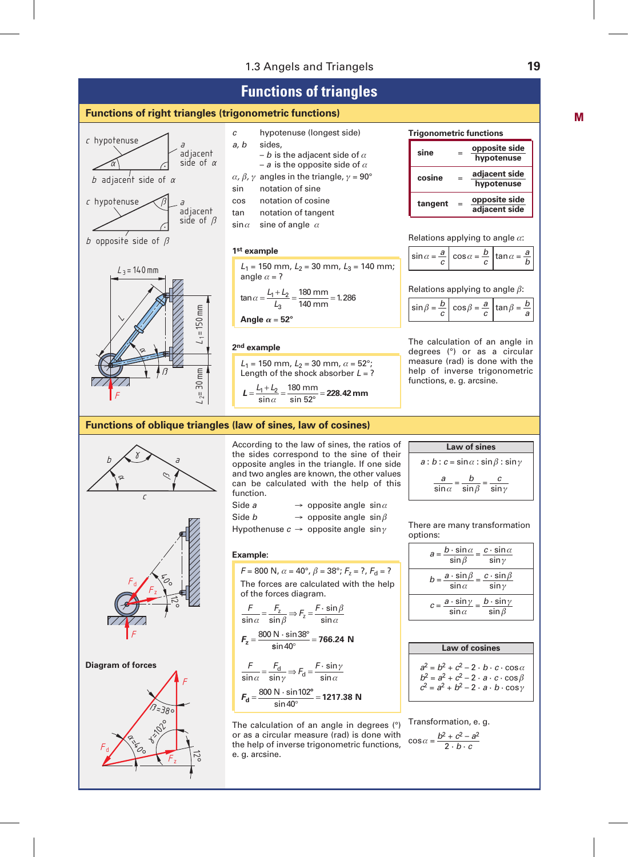#### 1.3 Angels and Triangels **19**

# **Functions of triangles**

#### **Functions of right triangles (trigonometric functions)**







#### **1st example**

 $L_1$  = 150 mm,  $L_2$  = 30 mm,  $L_3$  = 140 mm; angle  $\alpha = ?$ 

 $\tan \alpha = \frac{L_1 + L_2}{L_3} = \frac{180 \text{ mm}}{140 \text{ mm}} = 1.$  $\frac{12}{13} = \frac{180 \text{ mm}}{140 \text{ mm}} = 1.286$ 

$$
Angle \alpha = 52^{\circ}
$$

#### **2nd example**

 $L_1$  = 150 mm,  $L_2$  = 30 mm,  $\alpha$  = 52°; Length of the shock absorber  $L = ?$  $L = \frac{L_1 + L_2}{l} = \frac{180 \text{ mm}}{1.588} =$  $\sin \alpha$  $\overline{\sin 52^\circ}$ **228.42mm**

### **sine** <sup>=</sup> **opposite side hypotenuse cosine** <sup>=</sup> **adjacent side hypotenuse tangent** <sup>=</sup> **opposite side adjacent side**

Relations applying to angle  $\alpha$ :

$$
\sin \alpha = \frac{a}{c} \left| \cos \alpha = \frac{b}{c} \right| \tan \alpha = \frac{a}{b}
$$

Relations applying to angle  $\beta$ :

$$
\sin \beta = \frac{b}{c} \left( \cos \beta = \frac{a}{c} \left( \tan \beta = \frac{b}{a} \right) \right)
$$

The calculation of an angle in degrees (°) or as a circular measure (rad) is done with the help of inverse trigonometric functions, e. g. arcsine.

#### **Functions of oblique triangles (law of sines, law of cosines)**



 $\frac{F_d}{F_z}$ F  $\bigotimes$  $\vec{z}$ 

**Diagram of forces**



According to the law of sines, the ratios of the sides correspond to the sine of their opposite angles in the triangle. If one side and two angles are known, the other values can be calculated with the help of this function.

| Side a                                                  | $\rightarrow$ opposite angle sin $\alpha$ |  |
|---------------------------------------------------------|-------------------------------------------|--|
| Side <i>b</i>                                           | $\rightarrow$ opposite angle sin $\beta$  |  |
| Hypothenuse $c \rightarrow$ opposite angle sin $\gamma$ |                                           |  |

#### **Example:**

 $F = 800$  N,  $\alpha = 40^{\circ}$ ,  $\beta = 38^{\circ}$ ;  $F_7 = ?$ ,  $F_d = ?$ The forces are calculated with the help of the forces diagram.

$$
\frac{F}{\sin \alpha} = \frac{F_z}{\sin \beta} \Rightarrow F_z = \frac{F \cdot \sin \beta}{\sin \alpha}
$$

$$
F_z = \frac{800 \text{ N} \cdot \sin 38^\circ}{\sin 40^\circ} = 766.24 \text{ N}
$$

$$
\frac{F}{\sin \alpha} = \frac{F_{\text{d}}}{\sin \gamma} \Rightarrow F_{\text{d}} = \frac{F \cdot \sin \gamma}{\sin \alpha}
$$

$$
F_{\text{d}} = \frac{800 \text{ N} \cdot \sin 102^{\circ}}{\sin 40^{\circ}} = 1217.38 \text{ N}
$$

The calculation of an angle in degrees (°) or as a circular measure (rad) is done with the help of inverse trigonometric functions, e. g. arcsine.

| <b>Law of sines</b>                  |                              |               |  |  |
|--------------------------------------|------------------------------|---------------|--|--|
| $a:b:c=sin\alpha:sin\beta:sin\gamma$ |                              |               |  |  |
| a<br>$\sin \alpha$                   | h<br>$\overline{\sin \beta}$ | c<br>$\sin y$ |  |  |

There are many transformation options:

| $a = \frac{b \cdot \sin \alpha}{a} = \frac{c \cdot \sin \alpha}{a}$<br>$\sin \beta$<br>$\sin \gamma$ |  |
|------------------------------------------------------------------------------------------------------|--|
| $b = \frac{a \cdot \sin \beta}{\sin \alpha} = \frac{c \cdot \sin \beta}{\sin \gamma}$<br>$\sin y$    |  |
| $\frac{a \cdot \sin \gamma}{\sin \alpha} = \frac{b \cdot \sin \gamma}{\sin \beta}$                   |  |

| Law of cosines                                                                                                                                                               |
|------------------------------------------------------------------------------------------------------------------------------------------------------------------------------|
| $a^2 = b^2 + c^2 - 2 \cdot b \cdot c \cdot \cos \alpha$<br>$b^2 = a^2 + c^2 - 2 \cdot a \cdot c \cdot \cos \beta$<br>$c^2 = a^2 + b^2 - 2 \cdot a \cdot b \cdot \cos \gamma$ |

Transformation, e. g.

$$
\cos\alpha = \frac{b^2 + c^2 - a^2}{2 \cdot b \cdot c}
$$